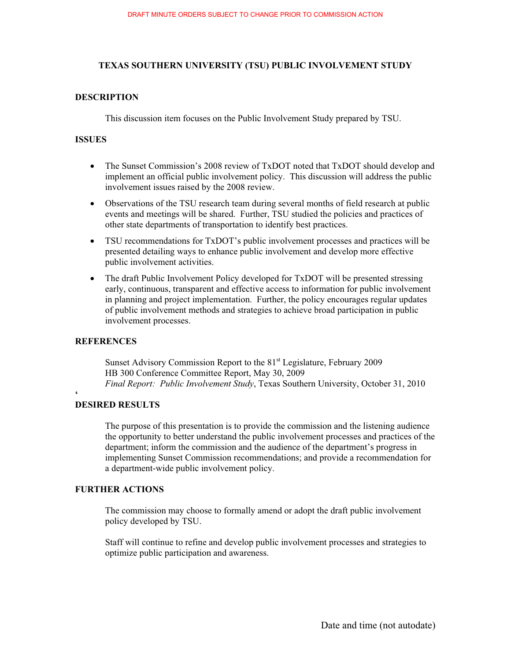#### **TEXAS SOUTHERN UNIVERSITY (TSU) PUBLIC INVOLVEMENT STUDY**

#### **DESCRIPTION**

This discussion item focuses on the Public Involvement Study prepared by TSU.

#### **ISSUES**

- - The Sunset Commission's 2008 review of TxDOT noted that TxDOT should develop and implement an official public involvement policy. This discussion will address the public involvement issues raised by the 2008 review.
- Observations of the TSU research team during several months of field research at public events and meetings will be shared. Further, TSU studied the policies and practices of other state departments of transportation to identify best practices.
- TSU recommendations for TxDOT's public involvement processes and practices will be presented detailing ways to enhance public involvement and develop more effective public involvement activities.
- The draft Public Involvement Policy developed for TxDOT will be presented stressing early, continuous, transparent and effective access to information for public involvement in planning and project implementation. Further, the policy encourages regular updates of public involvement methods and strategies to achieve broad participation in public involvement processes.

#### **REFERENCES**

**'**

Sunset Advisory Commission Report to the 81<sup>st</sup> Legislature, February 2009 HB 300 Conference Committee Report, May 30, 2009  *Final Report: Public Involvement Study*, Texas Southern University, October 31, 2010

#### **DESIRED RESULTS**

The purpose of this presentation is to provide the commission and the listening audience the opportunity to better understand the public involvement processes and practices of the department; inform the commission and the audience of the department's progress in implementing Sunset Commission recommendations; and provide a recommendation for a department-wide public involvement policy.

#### **FURTHER ACTIONS**

The commission may choose to formally amend or adopt the draft public involvement policy developed by TSU.

Staff will continue to refine and develop public involvement processes and strategies to optimize public participation and awareness.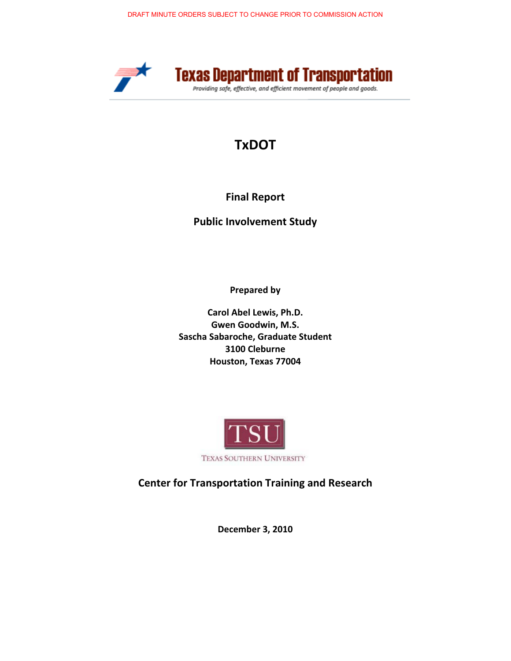

# **TxDOT-**

## **Final Report**

**Public Involvement Study** 

Prepared by

**Carol Abel Lewis, Ph.D. Gwen Goodwin, M.S.** Sascha Sabaroche, Graduate Student **3100-Cleburne- Houston,-Texas-77004-**



**Center for Transportation Training and Research** 

**December 3, 2010**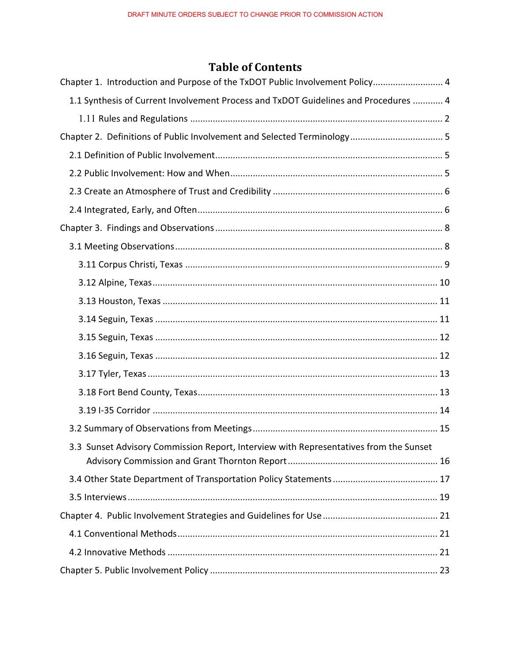## **Table of Contents**

| Chapter 1. Introduction and Purpose of the TxDOT Public Involvement Policy 4          |
|---------------------------------------------------------------------------------------|
| 1.1 Synthesis of Current Involvement Process and TxDOT Guidelines and Procedures  4   |
|                                                                                       |
|                                                                                       |
|                                                                                       |
|                                                                                       |
|                                                                                       |
|                                                                                       |
|                                                                                       |
|                                                                                       |
|                                                                                       |
|                                                                                       |
|                                                                                       |
|                                                                                       |
|                                                                                       |
|                                                                                       |
|                                                                                       |
|                                                                                       |
|                                                                                       |
|                                                                                       |
| 3.3 Sunset Advisory Commission Report, Interview with Representatives from the Sunset |
|                                                                                       |
|                                                                                       |
|                                                                                       |
|                                                                                       |
|                                                                                       |
|                                                                                       |
|                                                                                       |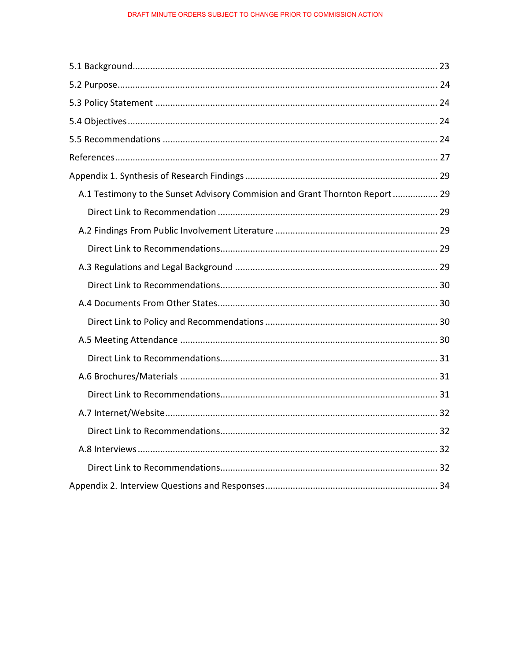| A.1 Testimony to the Sunset Advisory Commision and Grant Thornton Report 29 |  |
|-----------------------------------------------------------------------------|--|
|                                                                             |  |
|                                                                             |  |
|                                                                             |  |
|                                                                             |  |
|                                                                             |  |
|                                                                             |  |
|                                                                             |  |
|                                                                             |  |
|                                                                             |  |
|                                                                             |  |
|                                                                             |  |
|                                                                             |  |
|                                                                             |  |
|                                                                             |  |
|                                                                             |  |
|                                                                             |  |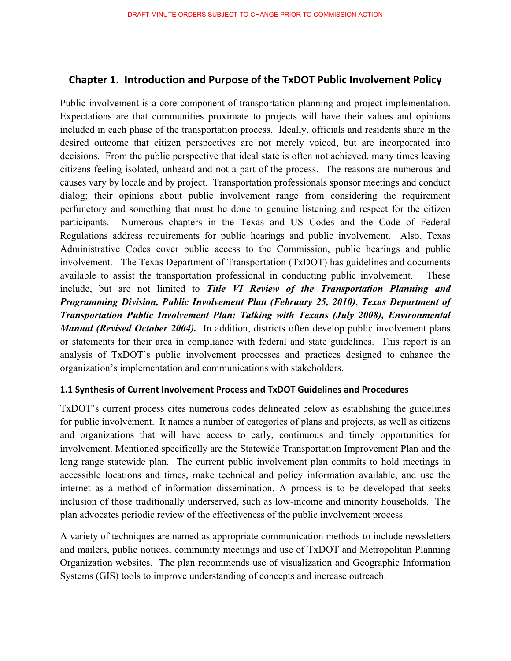## **Chapter 1. Introduction and Purpose of the TxDOT Public Involvement Policy**

Public involvement is a core component of transportation planning and project implementation. Expectations are that communities proximate to projects will have their values and opinions included in each phase of the transportation process. Ideally, officials and residents share in the desired outcome that citizen perspectives are not merely voiced, but are incorporated into decisions. From the public perspective that ideal state is often not achieved, many times leaving citizens feeling isolated, unheard and not a part of the process. The reasons are numerous and causes vary by locale and by project. Transportation professionals sponsor meetings and conduct dialog; their opinions about public involvement range from considering the requirement perfunctory and something that must be done to genuine listening and respect for the citizen participants. Numerous chapters in the Texas and US Codes and the Code of Federal Regulations address requirements for public hearings and public involvement. Also, Texas Administrative Codes cover public access to the Commission, public hearings and public involvement. The Texas Department of Transportation (TxDOT) has guidelines and documents available to assist the transportation professional in conducting public involvement. These include, but are not limited to *Title VI Review of the Transportation Planning and Programming Division, Public Involvement Plan (February 25, 2010)*, *Texas Department of Transportation Public Involvement Plan: Talking with Texans (July 2008), Environmental Manual (Revised October 2004)*. In addition, districts often develop public involvement plans or statements for their area in compliance with federal and state guidelines. This report is an analysis of TxDOT's public involvement processes and practices designed to enhance the organization's implementation and communications with stakeholders.

#### **1.1 Synthesis of Current Involvement Process and TxDOT Guidelines and Procedures**

TxDOT's current process cites numerous codes delineated below as establishing the guidelines for public involvement. It names a number of categories of plans and projects, as well as citizens and organizations that will have access to early, continuous and timely opportunities for involvement. Mentioned specifically are the Statewide Transportation Improvement Plan and the long range statewide plan. The current public involvement plan commits to hold meetings in accessible locations and times, make technical and policy information available, and use the internet as a method of information dissemination. A process is to be developed that seeks inclusion of those traditionally underserved, such as low-income and minority households. The plan advocates periodic review of the effectiveness of the public involvement process.

A variety of techniques are named as appropriate communication methods to include newsletters and mailers, public notices, community meetings and use of TxDOT and Metropolitan Planning Organization websites. The plan recommends use of visualization and Geographic Information Systems (GIS) tools to improve understanding of concepts and increase outreach.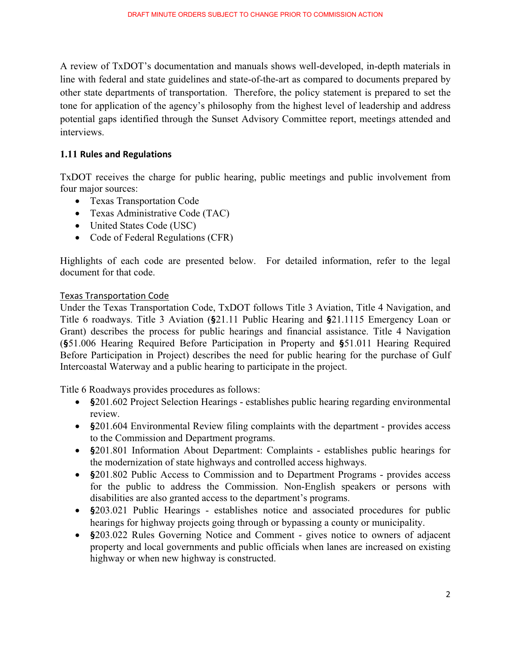A review of TxDOT's documentation and manuals shows well-developed, in-depth materials in line with federal and state guidelines and state-of-the-art as compared to documents prepared by other state departments of transportation. Therefore, the policy statement is prepared to set the tone for application of the agency's philosophy from the highest level of leadership and address potential gaps identified through the Sunset Advisory Committee report, meetings attended and interviews.

#### 1.11 Rules and Regulations

TxDOT receives the charge for public hearing, public meetings and public involvement from four major sources:

- Texas Transportation Code
- Texas Administrative Code (TAC)
- United States Code (USC)
- Code of Federal Regulations (CFR)

Highlights of each code are presented below. For detailed information, refer to the legal document for that code.

#### **Texas Transportation Code**

Under the Texas Transportation Code, TxDOT follows Title 3 Aviation, Title 4 Navigation, and Title 6 roadways. Title 3 Aviation (**§**21.11 Public Hearing and **§**21.1115 Emergency Loan or Grant) describes the process for public hearings and financial assistance. Title 4 Navigation (**§**51.006 Hearing Required Before Participation in Property and **§**51.011 Hearing Required Before Participation in Project) describes the need for public hearing for the purchase of Gulf Intercoastal Waterway and a public hearing to participate in the project.

Title 6 Roadways provides procedures as follows:

- **§**201.602 Project Selection Hearings establishes public hearing regarding environmental review.
- **§**201.604 Environmental Review filing complaints with the department provides access to the Commission and Department programs.
- **§**201.801 Information About Department: Complaints establishes public hearings for the modernization of state highways and controlled access highways.
- **§**201.802 Public Access to Commission and to Department Programs provides access for the public to address the Commission. Non-English speakers or persons with disabilities are also granted access to the department's programs.
- **§**203.021 Public Hearings establishes notice and associated procedures for public hearings for highway projects going through or bypassing a county or municipality.
- **§**203.022 Rules Governing Notice and Comment gives notice to owners of adjacent property and local governments and public officials when lanes are increased on existing highway or when new highway is constructed.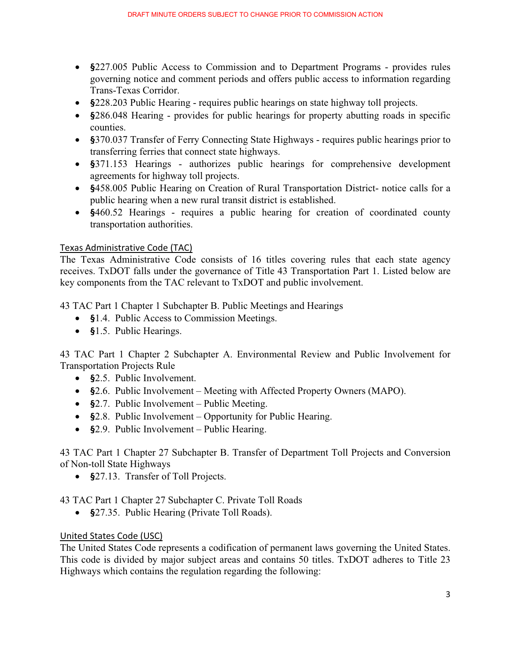- **§**227.005 Public Access to Commission and to Department Programs provides rules governing notice and comment periods and offers public access to information regarding Trans-Texas Corridor.
- **§**228.203 Public Hearing requires public hearings on state highway toll projects.
- **§**286.048 Hearing provides for public hearings for property abutting roads in specific counties.
- **§**370.037 Transfer of Ferry Connecting State Highways requires public hearings prior to transferring ferries that connect state highways.
- **§**371.153 Hearings authorizes public hearings for comprehensive development agreements for highway toll projects.
- **§**458.005 Public Hearing on Creation of Rural Transportation District- notice calls for a public hearing when a new rural transit district is established.
- **§**460.52 Hearings requires a public hearing for creation of coordinated county transportation authorities.

#### Texas Administrative Code (TAC)

The Texas Administrative Code consists of 16 titles covering rules that each state agency receives. TxDOT falls under the governance of Title 43 Transportation Part 1. Listed below are key components from the TAC relevant to TxDOT and public involvement.

43 TAC Part 1 Chapter 1 Subchapter B. Public Meetings and Hearings

- **§**1.4. Public Access to Commission Meetings.
- **§**1.5. Public Hearings.

43 TAC Part 1 Chapter 2 Subchapter A. Environmental Review and Public Involvement for Transportation Projects Rule

- **§**2.5. Public Involvement.
- **§**2.6. Public Involvement Meeting with Affected Property Owners (MAPO).
- **§**2.7. Public Involvement Public Meeting.
- **§**2.8. Public Involvement Opportunity for Public Hearing.
- **§**2.9. Public Involvement Public Hearing.

43 TAC Part 1 Chapter 27 Subchapter B. Transfer of Department Toll Projects and Conversion of Non-toll State Highways

- **§**27.13. Transfer of Toll Projects.

43 TAC Part 1 Chapter 27 Subchapter C. Private Toll Roads

- **§**27.35. Public Hearing (Private Toll Roads).

#### United States Code (USC)

The United States Code represents a codification of permanent laws governing the United States. This code is divided by major subject areas and contains 50 titles. TxDOT adheres to Title 23 Highways which contains the regulation regarding the following: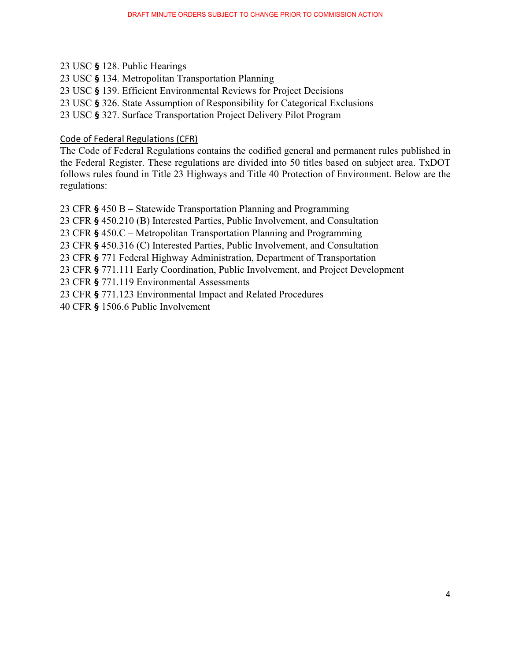- 23 USC **§** 128. Public Hearings
- 23 USC **§** 134. Metropolitan Transportation Planning
- 23 USC **§** 139. Efficient Environmental Reviews for Project Decisions
- 23 USC **§** 326. State Assumption of Responsibility for Categorical Exclusions
- 23 USC **§** 327. Surface Transportation Project Delivery Pilot Program

#### Code of Federal Regulations (CFR)

The Code of Federal Regulations contains the codified general and permanent rules published in the Federal Register. These regulations are divided into 50 titles based on subject area. TxDOT follows rules found in Title 23 Highways and Title 40 Protection of Environment. Below are the regulations:

23 CFR **§** 450 B – Statewide Transportation Planning and Programming 23 CFR **§** 450.210 (B) Interested Parties, Public Involvement, and Consultation 23 CFR **§** 450.C – Metropolitan Transportation Planning and Programming 23 CFR **§** 450.316 (C) Interested Parties, Public Involvement, and Consultation 23 CFR **§** 771 Federal Highway Administration, Department of Transportation 23 CFR **§** 771.111 Early Coordination, Public Involvement, and Project Development 23 CFR **§** 771.119 Environmental Assessments

23 CFR **§** 771.123 Environmental Impact and Related Procedures

40 CFR **§** 1506.6 Public Involvement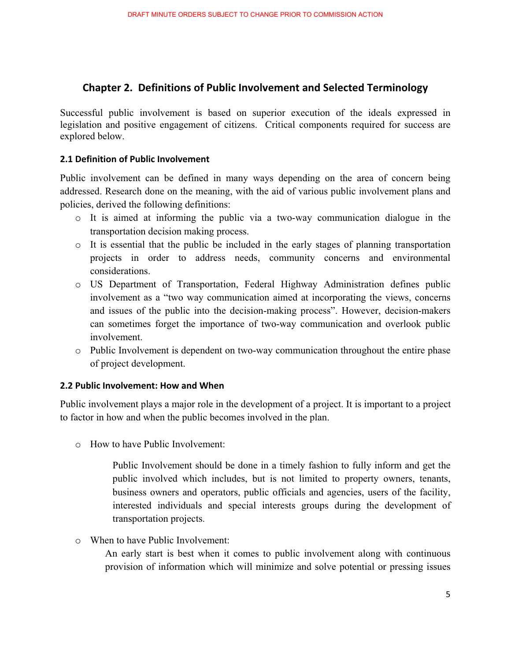## **Chapter 2. Definitions of Public Involvement and Selected Terminology**

Successful public involvement is based on superior execution of the ideals expressed in legislation and positive engagement of citizens. Critical components required for success are explored below.

#### **2.1 Definition of Public Involvement**

Public involvement can be defined in many ways depending on the area of concern being addressed. Research done on the meaning, with the aid of various public involvement plans and policies, derived the following definitions:

- $\circ$  It is aimed at informing the public via a two-way communication dialogue in the transportation decision making process.
- $\circ$  It is essential that the public be included in the early stages of planning transportation projects in order to address needs, community concerns and environmental considerations.
- o US Department of Transportation, Federal Highway Administration defines public involvement as a "two way communication aimed at incorporating the views, concerns and issues of the public into the decision-making process". However, decision-makers can sometimes forget the importance of two-way communication and overlook public involvement.
- o Public Involvement is dependent on two-way communication throughout the entire phase of project development.

#### **2.2 Public Involvement: How and When**

Public involvement plays a major role in the development of a project. It is important to a project to factor in how and when the public becomes involved in the plan.

o How to have Public Involvement:

Public Involvement should be done in a timely fashion to fully inform and get the public involved which includes, but is not limited to property owners, tenants, business owners and operators, public officials and agencies, users of the facility, interested individuals and special interests groups during the development of transportation projects.

o When to have Public Involvement:

An early start is best when it comes to public involvement along with continuous provision of information which will minimize and solve potential or pressing issues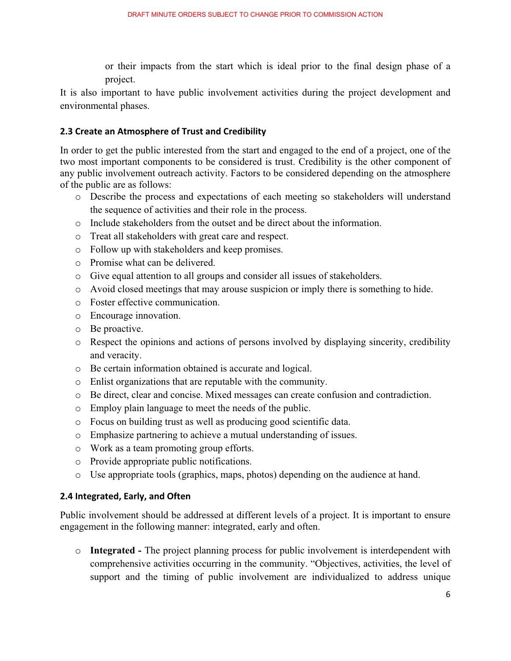or their impacts from the start which is ideal prior to the final design phase of a project.

It is also important to have public involvement activities during the project development and environmental phases.

#### **2.3 Create an Atmosphere of Trust and Credibility**

In order to get the public interested from the start and engaged to the end of a project, one of the two most important components to be considered is trust. Credibility is the other component of any public involvement outreach activity. Factors to be considered depending on the atmosphere of the public are as follows:

- o Describe the process and expectations of each meeting so stakeholders will understand the sequence of activities and their role in the process.
- o Include stakeholders from the outset and be direct about the information.
- o Treat all stakeholders with great care and respect.
- o Follow up with stakeholders and keep promises.
- o Promise what can be delivered.
- o Give equal attention to all groups and consider all issues of stakeholders.
- o Avoid closed meetings that may arouse suspicion or imply there is something to hide.
- o Foster effective communication.
- o Encourage innovation.
- o Be proactive.
- o Respect the opinions and actions of persons involved by displaying sincerity, credibility and veracity.
- o Be certain information obtained is accurate and logical.
- o Enlist organizations that are reputable with the community.
- o Be direct, clear and concise. Mixed messages can create confusion and contradiction.
- o Employ plain language to meet the needs of the public.
- o Focus on building trust as well as producing good scientific data.
- o Emphasize partnering to achieve a mutual understanding of issues.
- o Work as a team promoting group efforts.
- o Provide appropriate public notifications.
- $\circ$  Use appropriate tools (graphics, maps, photos) depending on the audience at hand.

#### 2.4 Integrated, Early, and Often

Public involvement should be addressed at different levels of a project. It is important to ensure engagement in the following manner: integrated, early and often.

o **Integrated -** The project planning process for public involvement is interdependent with comprehensive activities occurring in the community. "Objectives, activities, the level of support and the timing of public involvement are individualized to address unique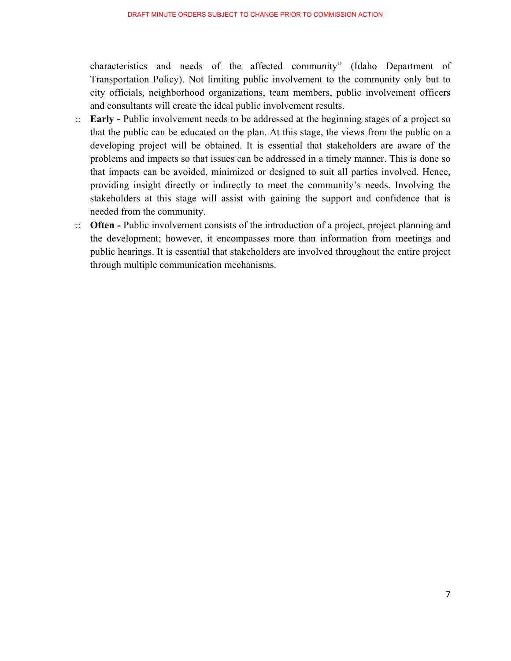characteristics and needs of the affected community" (Idaho Department of Transportation Policy). Not limiting public involvement to the community only but to city officials, neighborhood organizations, team members, public involvement officers and consultants will create the ideal public involvement results.

- o **Early** Public involvement needs to be addressed at the beginning stages of a project so that the public can be educated on the plan. At this stage, the views from the public on a developing project will be obtained. It is essential that stakeholders are aware of the problems and impacts so that issues can be addressed in a timely manner. This is done so that impacts can be avoided, minimized or designed to suit all parties involved. Hence, providing insight directly or indirectly to meet the community's needs. Involving the stakeholders at this stage will assist with gaining the support and confidence that is needed from the community.
- o **Often** Public involvement consists of the introduction of a project, project planning and the development; however, it encompasses more than information from meetings and public hearings. It is essential that stakeholders are involved throughout the entire project through multiple communication mechanisms.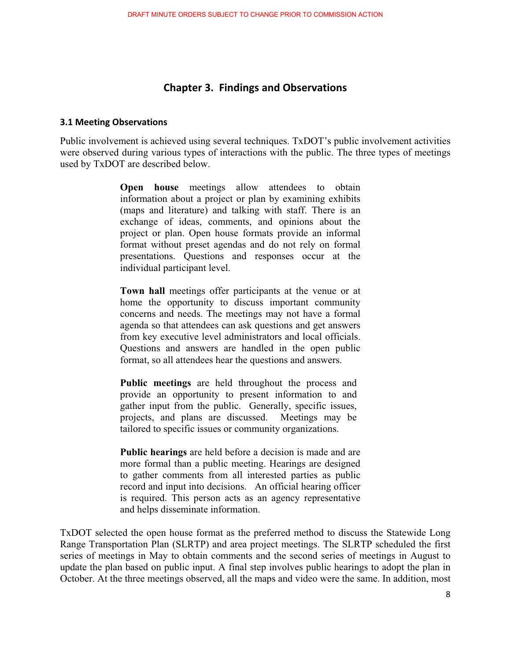## **Chapter 3. Findings and Observations**

#### **3.1-Meeting-Observations**

Public involvement is achieved using several techniques. TxDOT's public involvement activities were observed during various types of interactions with the public. The three types of meetings used by TxDOT are described below.

> **Open house** meetings allow attendees to obtain information about a project or plan by examining exhibits (maps and literature) and talking with staff. There is an exchange of ideas, comments, and opinions about the project or plan. Open house formats provide an informal format without preset agendas and do not rely on formal presentations. Questions and responses occur at the individual participant level.

> **Town hall** meetings offer participants at the venue or at home the opportunity to discuss important community concerns and needs. The meetings may not have a formal agenda so that attendees can ask questions and get answers from key executive level administrators and local officials. Questions and answers are handled in the open public format, so all attendees hear the questions and answers.

> **Public meetings** are held throughout the process and provide an opportunity to present information to and gather input from the public. Generally, specific issues, projects, and plans are discussed. Meetings may be tailored to specific issues or community organizations.

**Public hearings** are held before a decision is made and are more formal than a public meeting. Hearings are designed to gather comments from all interested parties as public record and input into decisions. An official hearing officer is required. This person acts as an agency representative and helps disseminate information.

TxDOT selected the open house format as the preferred method to discuss the Statewide Long Range Transportation Plan (SLRTP) and area project meetings. The SLRTP scheduled the first series of meetings in May to obtain comments and the second series of meetings in August to update the plan based on public input. A final step involves public hearings to adopt the plan in October. At the three meetings observed, all the maps and video were the same. In addition, most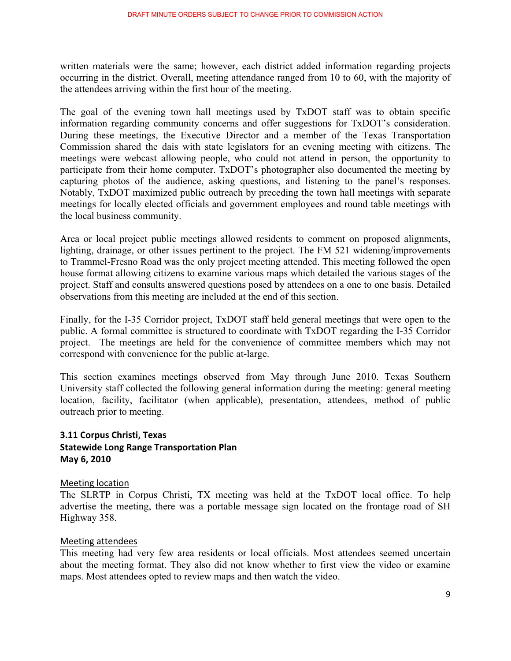written materials were the same; however, each district added information regarding projects occurring in the district. Overall, meeting attendance ranged from 10 to 60, with the majority of the attendees arriving within the first hour of the meeting.

The goal of the evening town hall meetings used by TxDOT staff was to obtain specific information regarding community concerns and offer suggestions for TxDOT's consideration. During these meetings, the Executive Director and a member of the Texas Transportation Commission shared the dais with state legislators for an evening meeting with citizens. The meetings were webcast allowing people, who could not attend in person, the opportunity to participate from their home computer. TxDOT's photographer also documented the meeting by capturing photos of the audience, asking questions, and listening to the panel's responses. Notably, TxDOT maximized public outreach by preceding the town hall meetings with separate meetings for locally elected officials and government employees and round table meetings with the local business community.

Area or local project public meetings allowed residents to comment on proposed alignments, lighting, drainage, or other issues pertinent to the project. The FM 521 widening/improvements to Trammel-Fresno Road was the only project meeting attended. This meeting followed the open house format allowing citizens to examine various maps which detailed the various stages of the project. Staff and consults answered questions posed by attendees on a one to one basis. Detailed observations from this meeting are included at the end of this section.

Finally, for the I-35 Corridor project, TxDOT staff held general meetings that were open to the public. A formal committee is structured to coordinate with TxDOT regarding the I-35 Corridor project. The meetings are held for the convenience of committee members which may not correspond with convenience for the public at-large.

This section examines meetings observed from May through June 2010. Texas Southern University staff collected the following general information during the meeting: general meeting location, facility, facilitator (when applicable), presentation, attendees, method of public outreach prior to meeting.

#### 3.11 Corpus Christi, Texas **Statewide Long Range Transportation Plan May 6, 2010**

#### Meeting location

The SLRTP in Corpus Christi, TX meeting was held at the TxDOT local office. To help advertise the meeting, there was a portable message sign located on the frontage road of SH Highway 358.

#### Meeting attendees

This meeting had very few area residents or local officials. Most attendees seemed uncertain about the meeting format. They also did not know whether to first view the video or examine maps. Most attendees opted to review maps and then watch the video.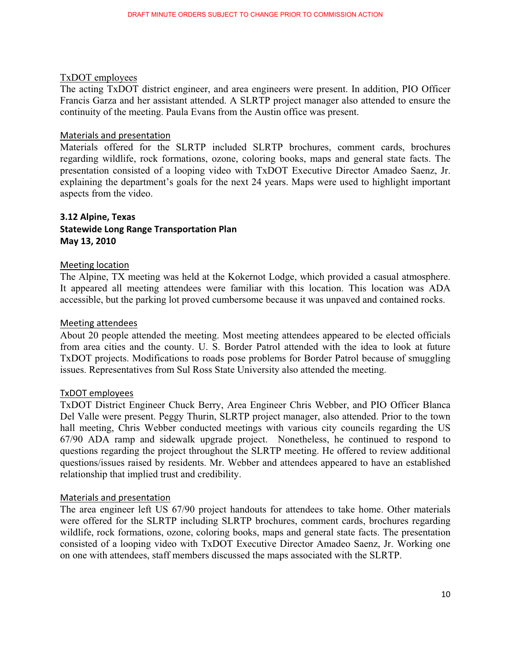#### TxDOT employees

The acting TxDOT district engineer, and area engineers were present. In addition, PIO Officer Francis Garza and her assistant attended. A SLRTP project manager also attended to ensure the continuity of the meeting. Paula Evans from the Austin office was present.

#### Materials and presentation

Materials offered for the SLRTP included SLRTP brochures, comment cards, brochures regarding wildlife, rock formations, ozone, coloring books, maps and general state facts. The presentation consisted of a looping video with TxDOT Executive Director Amadeo Saenz, Jr. explaining the department's goals for the next 24 years. Maps were used to highlight important aspects from the video.

#### **3.12 Alpine, Texas Statewide Long Range Transportation Plan** May 13, 2010

#### Meeting location

The Alpine, TX meeting was held at the Kokernot Lodge, which provided a casual atmosphere. It appeared all meeting attendees were familiar with this location. This location was ADA accessible, but the parking lot proved cumbersome because it was unpaved and contained rocks.

#### Meeting attendees

About 20 people attended the meeting. Most meeting attendees appeared to be elected officials from area cities and the county. U. S. Border Patrol attended with the idea to look at future TxDOT projects. Modifications to roads pose problems for Border Patrol because of smuggling issues. Representatives from Sul Ross State University also attended the meeting.

#### TxDOT employees

TxDOT District Engineer Chuck Berry, Area Engineer Chris Webber, and PIO Officer Blanca Del Valle were present. Peggy Thurin, SLRTP project manager, also attended. Prior to the town hall meeting, Chris Webber conducted meetings with various city councils regarding the US 67/90 ADA ramp and sidewalk upgrade project. Nonetheless, he continued to respond to questions regarding the project throughout the SLRTP meeting. He offered to review additional questions/issues raised by residents. Mr. Webber and attendees appeared to have an established relationship that implied trust and credibility.

#### Materials and presentation

The area engineer left US 67/90 project handouts for attendees to take home. Other materials were offered for the SLRTP including SLRTP brochures, comment cards, brochures regarding wildlife, rock formations, ozone, coloring books, maps and general state facts. The presentation consisted of a looping video with TxDOT Executive Director Amadeo Saenz, Jr. Working one on one with attendees, staff members discussed the maps associated with the SLRTP.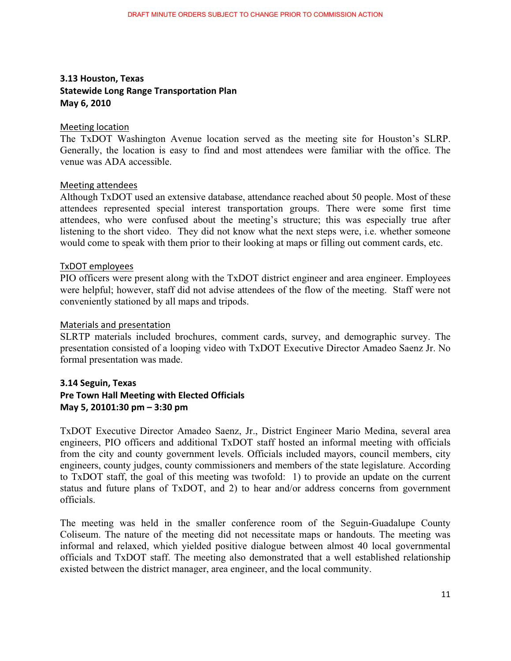## **3.13 Houston, Texas Statewide Long Range Transportation Plan May 6, 2010**

#### Meeting location

The TxDOT Washington Avenue location served as the meeting site for Houston's SLRP. Generally, the location is easy to find and most attendees were familiar with the office. The venue was ADA accessible.

#### Meeting attendees

Although TxDOT used an extensive database, attendance reached about 50 people. Most of these attendees represented special interest transportation groups. There were some first time attendees, who were confused about the meeting's structure; this was especially true after listening to the short video. They did not know what the next steps were, i.e. whether someone would come to speak with them prior to their looking at maps or filling out comment cards, etc.

#### TxDOT employees

PIO officers were present along with the TxDOT district engineer and area engineer. Employees were helpful; however, staff did not advise attendees of the flow of the meeting. Staff were not conveniently stationed by all maps and tripods.

#### Materials and presentation

SLRTP materials included brochures, comment cards, survey, and demographic survey. The presentation consisted of a looping video with TxDOT Executive Director Amadeo Saenz Jr. No formal presentation was made.

#### **3.14 Seguin, Texas**

## **Pre Town Hall Meeting with Elected Officials May 5, 20101:30 pm - 3:30 pm**

TxDOT Executive Director Amadeo Saenz, Jr., District Engineer Mario Medina, several area engineers, PIO officers and additional TxDOT staff hosted an informal meeting with officials from the city and county government levels. Officials included mayors, council members, city engineers, county judges, county commissioners and members of the state legislature. According to TxDOT staff, the goal of this meeting was twofold: 1) to provide an update on the current status and future plans of TxDOT, and 2) to hear and/or address concerns from government officials.

The meeting was held in the smaller conference room of the Seguin-Guadalupe County Coliseum. The nature of the meeting did not necessitate maps or handouts. The meeting was informal and relaxed, which yielded positive dialogue between almost 40 local governmental officials and TxDOT staff. The meeting also demonstrated that a well established relationship existed between the district manager, area engineer, and the local community.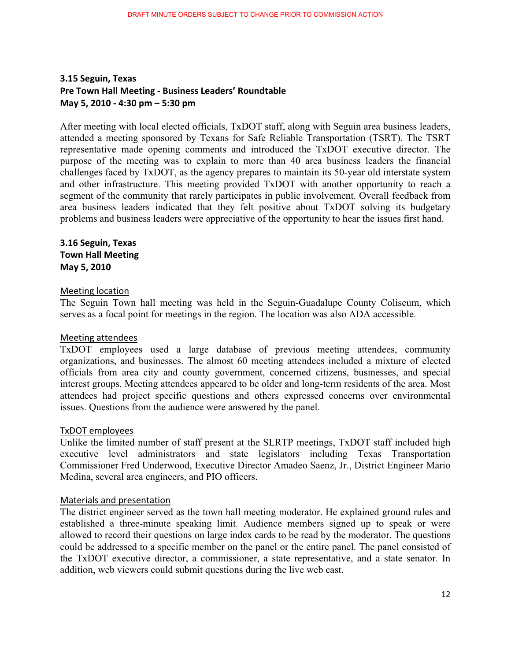#### **3.15 Seguin, Texas Pre-Town-Hall-Meeting--Business-Leaders'-Roundtable-May 5, 2010 - 4:30 pm – 5:30 pm**

After meeting with local elected officials, TxDOT staff, along with Seguin area business leaders, attended a meeting sponsored by Texans for Safe Reliable Transportation (TSRT). The TSRT representative made opening comments and introduced the TxDOT executive director. The purpose of the meeting was to explain to more than 40 area business leaders the financial challenges faced by TxDOT, as the agency prepares to maintain its 50-year old interstate system and other infrastructure. This meeting provided TxDOT with another opportunity to reach a segment of the community that rarely participates in public involvement. Overall feedback from area business leaders indicated that they felt positive about TxDOT solving its budgetary problems and business leaders were appreciative of the opportunity to hear the issues first hand.

#### **3.16 Seguin, Texas Town-Hall-Meeting- May 5, 2010**

#### Meeting location

The Seguin Town hall meeting was held in the Seguin-Guadalupe County Coliseum, which serves as a focal point for meetings in the region. The location was also ADA accessible.

#### Meeting attendees

TxDOT employees used a large database of previous meeting attendees, community organizations, and businesses. The almost 60 meeting attendees included a mixture of elected officials from area city and county government, concerned citizens, businesses, and special interest groups. Meeting attendees appeared to be older and long-term residents of the area. Most attendees had project specific questions and others expressed concerns over environmental issues. Questions from the audience were answered by the panel.

#### TxDOT employees

Unlike the limited number of staff present at the SLRTP meetings, TxDOT staff included high executive level administrators and state legislators including Texas Transportation Commissioner Fred Underwood, Executive Director Amadeo Saenz, Jr., District Engineer Mario Medina, several area engineers, and PIO officers.

#### Materials and presentation

The district engineer served as the town hall meeting moderator. He explained ground rules and established a three-minute speaking limit. Audience members signed up to speak or were allowed to record their questions on large index cards to be read by the moderator. The questions could be addressed to a specific member on the panel or the entire panel. The panel consisted of the TxDOT executive director, a commissioner, a state representative, and a state senator. In addition, web viewers could submit questions during the live web cast.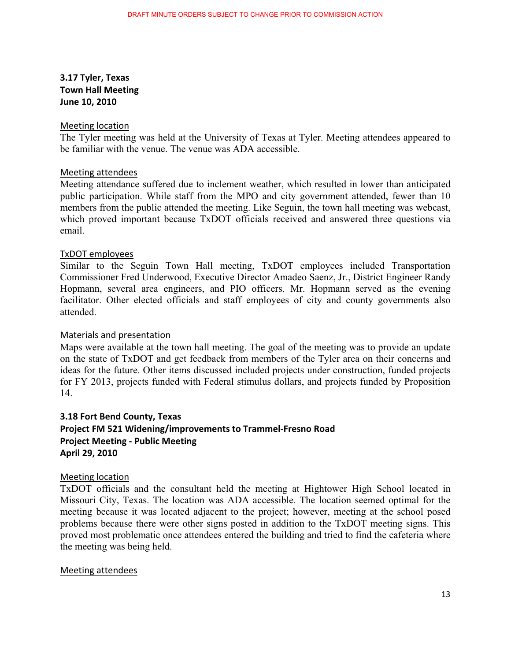## 3.17 Tyler, Texas **Town-Hall-Meeting- June 10, 2010**

#### Meeting location

The Tyler meeting was held at the University of Texas at Tyler. Meeting attendees appeared to be familiar with the venue. The venue was ADA accessible.

#### Meeting attendees

Meeting attendance suffered due to inclement weather, which resulted in lower than anticipated public participation. While staff from the MPO and city government attended, fewer than 10 members from the public attended the meeting. Like Seguin, the town hall meeting was webcast, which proved important because TxDOT officials received and answered three questions via email.

#### TxDOT employees

Similar to the Seguin Town Hall meeting, TxDOT employees included Transportation Commissioner Fred Underwood, Executive Director Amadeo Saenz, Jr., District Engineer Randy Hopmann, several area engineers, and PIO officers. Mr. Hopmann served as the evening facilitator. Other elected officials and staff employees of city and county governments also attended.

#### Materials and presentation

Maps were available at the town hall meeting. The goal of the meeting was to provide an update on the state of TxDOT and get feedback from members of the Tyler area on their concerns and ideas for the future. Other items discussed included projects under construction, funded projects for FY 2013, projects funded with Federal stimulus dollars, and projects funded by Proposition 14.

## **3.18 Fort Bend County, Texas** Project FM 521 Widening/improvements to Trammel-Fresno Road **Project-Meeting--Public-Meeting- April-29,-2010-**

#### Meeting location

TxDOT officials and the consultant held the meeting at Hightower High School located in Missouri City, Texas. The location was ADA accessible. The location seemed optimal for the meeting because it was located adjacent to the project; however, meeting at the school posed problems because there were other signs posted in addition to the TxDOT meeting signs. This proved most problematic once attendees entered the building and tried to find the cafeteria where the meeting was being held.

#### Meeting attendees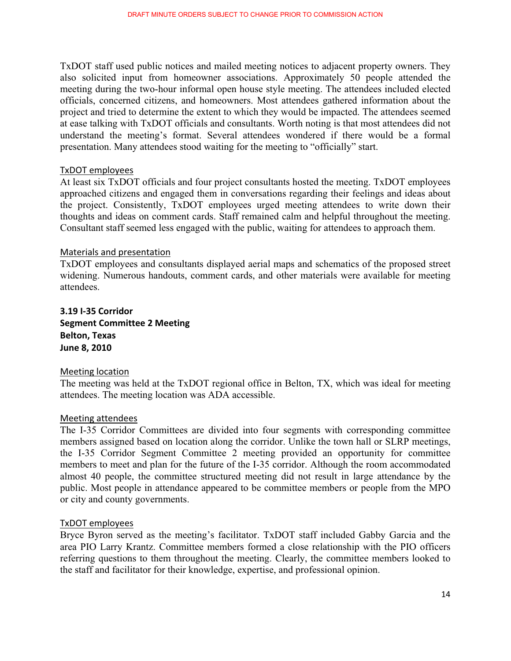TxDOT staff used public notices and mailed meeting notices to adjacent property owners. They also solicited input from homeowner associations. Approximately 50 people attended the meeting during the two-hour informal open house style meeting. The attendees included elected officials, concerned citizens, and homeowners. Most attendees gathered information about the project and tried to determine the extent to which they would be impacted. The attendees seemed at ease talking with TxDOT officials and consultants. Worth noting is that most attendees did not understand the meeting's format. Several attendees wondered if there would be a formal presentation. Many attendees stood waiting for the meeting to "officially" start.

#### TxDOT employees

At least six TxDOT officials and four project consultants hosted the meeting. TxDOT employees approached citizens and engaged them in conversations regarding their feelings and ideas about the project. Consistently, TxDOT employees urged meeting attendees to write down their thoughts and ideas on comment cards. Staff remained calm and helpful throughout the meeting. Consultant staff seemed less engaged with the public, waiting for attendees to approach them.

#### Materials and presentation

TxDOT employees and consultants displayed aerial maps and schematics of the proposed street widening. Numerous handouts, comment cards, and other materials were available for meeting attendees.

## **3.19-I35-Corridor-Segment Committee 2 Meeting Belton, Texas June-8,-2010-**

#### Meeting location

The meeting was held at the TxDOT regional office in Belton, TX, which was ideal for meeting attendees. The meeting location was ADA accessible.

#### Meeting attendees

The I-35 Corridor Committees are divided into four segments with corresponding committee members assigned based on location along the corridor. Unlike the town hall or SLRP meetings, the I-35 Corridor Segment Committee 2 meeting provided an opportunity for committee members to meet and plan for the future of the I-35 corridor. Although the room accommodated almost 40 people, the committee structured meeting did not result in large attendance by the public. Most people in attendance appeared to be committee members or people from the MPO or city and county governments.

#### TxDOT employees

Bryce Byron served as the meeting's facilitator. TxDOT staff included Gabby Garcia and the area PIO Larry Krantz. Committee members formed a close relationship with the PIO officers referring questions to them throughout the meeting. Clearly, the committee members looked to the staff and facilitator for their knowledge, expertise, and professional opinion.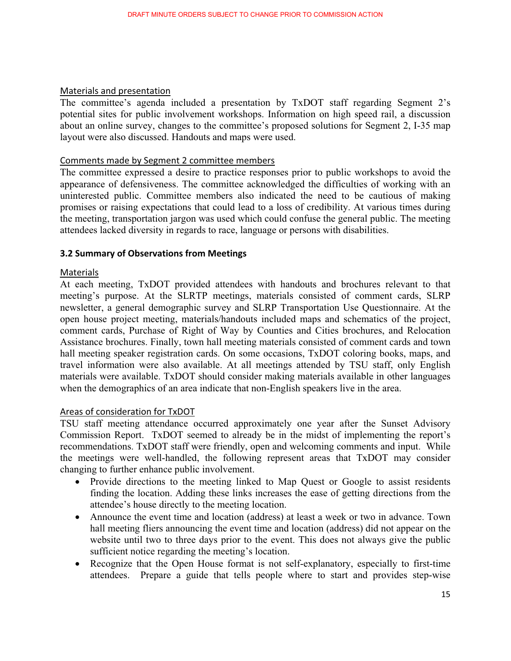#### Materials and presentation

The committee's agenda included a presentation by TxDOT staff regarding Segment 2's potential sites for public involvement workshops. Information on high speed rail, a discussion about an online survey, changes to the committee's proposed solutions for Segment 2, I-35 map layout were also discussed. Handouts and maps were used.

#### Comments made by Segment 2 committee members

The committee expressed a desire to practice responses prior to public workshops to avoid the appearance of defensiveness. The committee acknowledged the difficulties of working with an uninterested public. Committee members also indicated the need to be cautious of making promises or raising expectations that could lead to a loss of credibility. At various times during the meeting, transportation jargon was used which could confuse the general public. The meeting attendees lacked diversity in regards to race, language or persons with disabilities.

#### **3.2 Summary of Observations from Meetings**

#### Materials

At each meeting, TxDOT provided attendees with handouts and brochures relevant to that meeting's purpose. At the SLRTP meetings, materials consisted of comment cards, SLRP newsletter, a general demographic survey and SLRP Transportation Use Questionnaire. At the open house project meeting, materials/handouts included maps and schematics of the project, comment cards, Purchase of Right of Way by Counties and Cities brochures, and Relocation Assistance brochures. Finally, town hall meeting materials consisted of comment cards and town hall meeting speaker registration cards. On some occasions, TxDOT coloring books, maps, and travel information were also available. At all meetings attended by TSU staff, only English materials were available. TxDOT should consider making materials available in other languages when the demographics of an area indicate that non-English speakers live in the area.

#### Areas of consideration for TxDOT

TSU staff meeting attendance occurred approximately one year after the Sunset Advisory Commission Report. TxDOT seemed to already be in the midst of implementing the report's recommendations. TxDOT staff were friendly, open and welcoming comments and input. While the meetings were well-handled, the following represent areas that TxDOT may consider changing to further enhance public involvement.

- Provide directions to the meeting linked to Map Quest or Google to assist residents finding the location. Adding these links increases the ease of getting directions from the attendee's house directly to the meeting location.
- Announce the event time and location (address) at least a week or two in advance. Town hall meeting fliers announcing the event time and location (address) did not appear on the website until two to three days prior to the event. This does not always give the public sufficient notice regarding the meeting's location.
- Recognize that the Open House format is not self-explanatory, especially to first-time attendees. Prepare a guide that tells people where to start and provides step-wise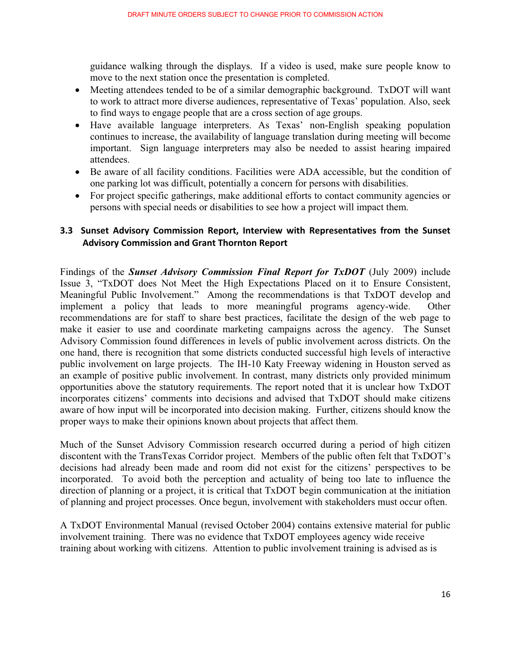guidance walking through the displays. If a video is used, make sure people know to move to the next station once the presentation is completed.

- Meeting attendees tended to be of a similar demographic background. TxDOT will want to work to attract more diverse audiences, representative of Texas' population. Also, seek to find ways to engage people that are a cross section of age groups.
- Have available language interpreters. As Texas' non-English speaking population continues to increase, the availability of language translation during meeting will become important. Sign language interpreters may also be needed to assist hearing impaired attendees.
- Be aware of all facility conditions. Facilities were ADA accessible, but the condition of one parking lot was difficult, potentially a concern for persons with disabilities.
- For project specific gatherings, make additional efforts to contact community agencies or persons with special needs or disabilities to see how a project will impact them.

## 3.3 Sunset Advisory Commission Report, Interview with Representatives from the Sunset **Advisory Commission and Grant Thornton Report**

Findings of the *Sunset Advisory Commission Final Report for TxDOT* (July 2009) include Issue 3, "TxDOT does Not Meet the High Expectations Placed on it to Ensure Consistent, Meaningful Public Involvement." Among the recommendations is that TxDOT develop and implement a policy that leads to more meaningful programs agency-wide. Other recommendations are for staff to share best practices, facilitate the design of the web page to make it easier to use and coordinate marketing campaigns across the agency. The Sunset Advisory Commission found differences in levels of public involvement across districts. On the one hand, there is recognition that some districts conducted successful high levels of interactive public involvement on large projects. The IH-10 Katy Freeway widening in Houston served as an example of positive public involvement. In contrast, many districts only provided minimum opportunities above the statutory requirements. The report noted that it is unclear how TxDOT incorporates citizens' comments into decisions and advised that TxDOT should make citizens aware of how input will be incorporated into decision making. Further, citizens should know the proper ways to make their opinions known about projects that affect them.

Much of the Sunset Advisory Commission research occurred during a period of high citizen discontent with the TransTexas Corridor project. Members of the public often felt that TxDOT's decisions had already been made and room did not exist for the citizens' perspectives to be incorporated. To avoid both the perception and actuality of being too late to influence the direction of planning or a project, it is critical that TxDOT begin communication at the initiation of planning and project processes. Once begun, involvement with stakeholders must occur often.

A TxDOT Environmental Manual (revised October 2004) contains extensive material for public involvement training. There was no evidence that TxDOT employees agency wide receive training about working with citizens. Attention to public involvement training is advised as is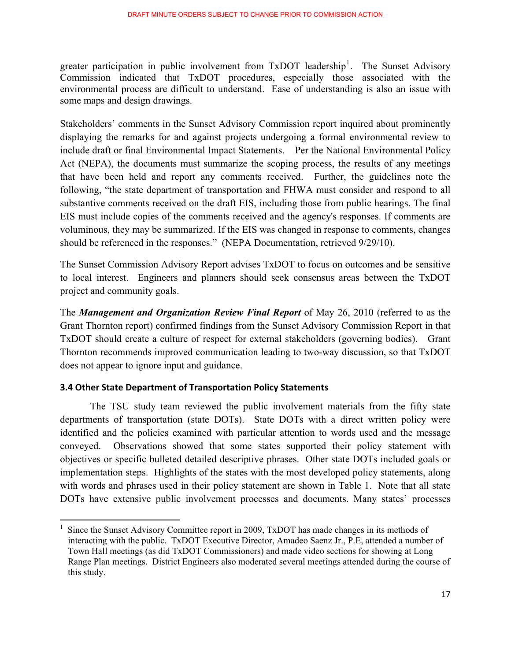greater participation in public involvement from TxDOT leadership<sup>1</sup>. The Sunset Advisory Commission indicated that TxDOT procedures, especially those associated with the environmental process are difficult to understand. Ease of understanding is also an issue with some maps and design drawings.

Stakeholders' comments in the Sunset Advisory Commission report inquired about prominently displaying the remarks for and against projects undergoing a formal environmental review to include draft or final Environmental Impact Statements. Per the National Environmental Policy Act (NEPA), the documents must summarize the scoping process, the results of any meetings that have been held and report any comments received. Further, the guidelines note the following, "the state department of transportation and FHWA must consider and respond to all substantive comments received on the draft EIS, including those from public hearings. The final EIS must include copies of the comments received and the agency's responses. If comments are voluminous, they may be summarized. If the EIS was changed in response to comments, changes should be referenced in the responses." (NEPA Documentation, retrieved 9/29/10).

The Sunset Commission Advisory Report advises TxDOT to focus on outcomes and be sensitive to local interest. Engineers and planners should seek consensus areas between the TxDOT project and community goals.

The *Management and Organization Review Final Report* of May 26, 2010 (referred to as the Grant Thornton report) confirmed findings from the Sunset Advisory Commission Report in that TxDOT should create a culture of respect for external stakeholders (governing bodies). Grant Thornton recommends improved communication leading to two-way discussion, so that TxDOT does not appear to ignore input and guidance.

#### **3.4 Other State Department of Transportation Policy Statements**

-----------------------------------------------------------

The TSU study team reviewed the public involvement materials from the fifty state departments of transportation (state DOTs). State DOTs with a direct written policy were identified and the policies examined with particular attention to words used and the message conveyed. Observations showed that some states supported their policy statement with objectives or specific bulleted detailed descriptive phrases. Other state DOTs included goals or implementation steps. Highlights of the states with the most developed policy statements, along with words and phrases used in their policy statement are shown in Table 1. Note that all state DOTs have extensive public involvement processes and documents. Many states' processes

<sup>1</sup> Since the Sunset Advisory Committee report in 2009, TxDOT has made changes in its methods of interacting with the public. TxDOT Executive Director, Amadeo Saenz Jr., P.E, attended a number of Town Hall meetings (as did TxDOT Commissioners) and made video sections for showing at Long Range Plan meetings. District Engineers also moderated several meetings attended during the course of this study.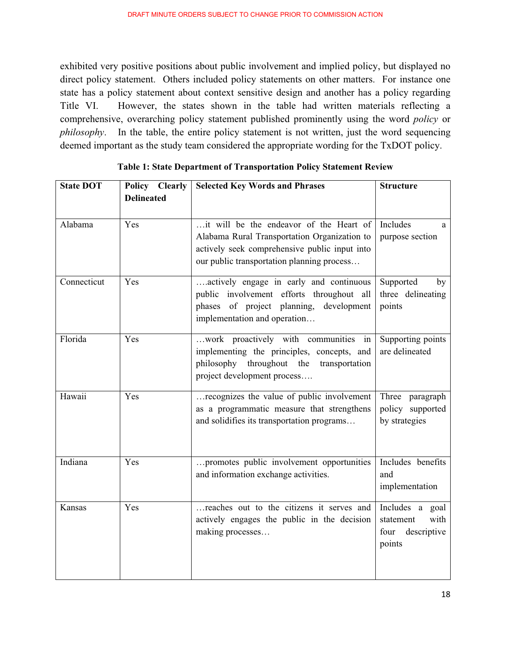exhibited very positive positions about public involvement and implied policy, but displayed no direct policy statement. Others included policy statements on other matters. For instance one state has a policy statement about context sensitive design and another has a policy regarding Title VI. However, the states shown in the table had written materials reflecting a comprehensive, overarching policy statement published prominently using the word *policy* or *philosophy*. In the table, the entire policy statement is not written, just the word sequencing deemed important as the study team considered the appropriate wording for the TxDOT policy.

| <b>State DOT</b> | Policy Clearly<br><b>Delineated</b> | <b>Selected Key Words and Phrases</b>                                                                                                                                                  | <b>Structure</b>                                                      |
|------------------|-------------------------------------|----------------------------------------------------------------------------------------------------------------------------------------------------------------------------------------|-----------------------------------------------------------------------|
| Alabama          | Yes                                 | it will be the endeavor of the Heart of<br>Alabama Rural Transportation Organization to<br>actively seek comprehensive public input into<br>our public transportation planning process | Includes<br>a<br>purpose section                                      |
| Connecticut      | Yes                                 | actively engage in early and continuous<br>public involvement efforts throughout all<br>phases of project planning,<br>development<br>implementation and operation                     | Supported<br>by<br>three delineating<br>points                        |
| Florida          | Yes                                 | work proactively with communities in<br>implementing the principles, concepts, and<br>philosophy throughout the<br>transportation<br>project development process                       | Supporting points<br>are delineated                                   |
| Hawaii           | Yes                                 | recognizes the value of public involvement<br>as a programmatic measure that strengthens<br>and solidifies its transportation programs                                                 | Three<br>paragraph<br>policy supported<br>by strategies               |
| Indiana          | Yes                                 | promotes public involvement opportunities<br>and information exchange activities.                                                                                                      | Includes benefits<br>and<br>implementation                            |
| Kansas           | Yes                                 | reaches out to the citizens it serves and<br>actively engages the public in the decision<br>making processes                                                                           | Includes a goal<br>with<br>statement<br>descriptive<br>four<br>points |

**Table 1: State Department of Transportation Policy Statement Review**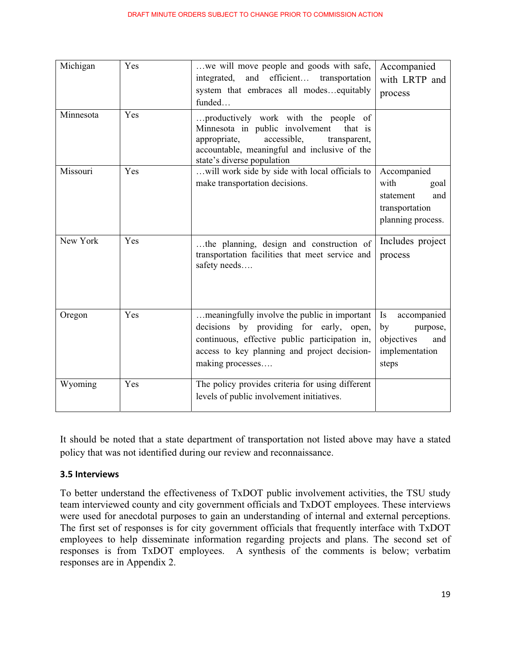| Michigan  | Yes | we will move people and goods with safe,<br>efficient<br>integrated,<br>and<br>transportation<br>system that embraces all modesequitably<br>funded                                                              | Accompanied<br>with LRTP and<br>process                                                |
|-----------|-----|-----------------------------------------------------------------------------------------------------------------------------------------------------------------------------------------------------------------|----------------------------------------------------------------------------------------|
| Minnesota | Yes | productively work with the people of<br>Minnesota in public involvement<br>that is<br>accessible,<br>appropriate,<br>transparent,<br>accountable, meaningful and inclusive of the<br>state's diverse population |                                                                                        |
| Missouri  | Yes | will work side by side with local officials to<br>make transportation decisions.                                                                                                                                | Accompanied<br>with<br>goal<br>statement<br>and<br>transportation<br>planning process. |
| New York  | Yes | the planning, design and construction of<br>transportation facilities that meet service and<br>safety needs                                                                                                     | Includes project<br>process                                                            |
| Oregon    | Yes | meaningfully involve the public in important<br>decisions by providing for early, open,<br>continuous, effective public participation in,<br>access to key planning and project decision-<br>making processes   | accompanied<br>Is<br>by<br>purpose,<br>objectives<br>and<br>implementation<br>steps    |
| Wyoming   | Yes | The policy provides criteria for using different<br>levels of public involvement initiatives.                                                                                                                   |                                                                                        |

It should be noted that a state department of transportation not listed above may have a stated policy that was not identified during our review and reconnaissance.

#### **3.5 Interviews**

To better understand the effectiveness of TxDOT public involvement activities, the TSU study team interviewed county and city government officials and TxDOT employees. These interviews were used for anecdotal purposes to gain an understanding of internal and external perceptions. The first set of responses is for city government officials that frequently interface with TxDOT employees to help disseminate information regarding projects and plans. The second set of responses is from TxDOT employees. A synthesis of the comments is below; verbatim responses are in Appendix 2.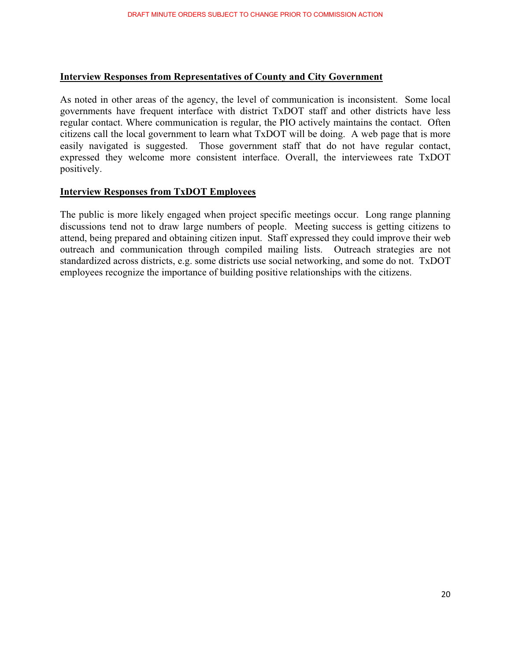#### **Interview Responses from Representatives of County and City Government**

As noted in other areas of the agency, the level of communication is inconsistent. Some local governments have frequent interface with district TxDOT staff and other districts have less regular contact. Where communication is regular, the PIO actively maintains the contact. Often citizens call the local government to learn what TxDOT will be doing. A web page that is more easily navigated is suggested. Those government staff that do not have regular contact, expressed they welcome more consistent interface. Overall, the interviewees rate TxDOT positively.

#### **Interview Responses from TxDOT Employees**

The public is more likely engaged when project specific meetings occur. Long range planning discussions tend not to draw large numbers of people. Meeting success is getting citizens to attend, being prepared and obtaining citizen input. Staff expressed they could improve their web outreach and communication through compiled mailing lists. Outreach strategies are not standardized across districts, e.g. some districts use social networking, and some do not. TxDOT employees recognize the importance of building positive relationships with the citizens.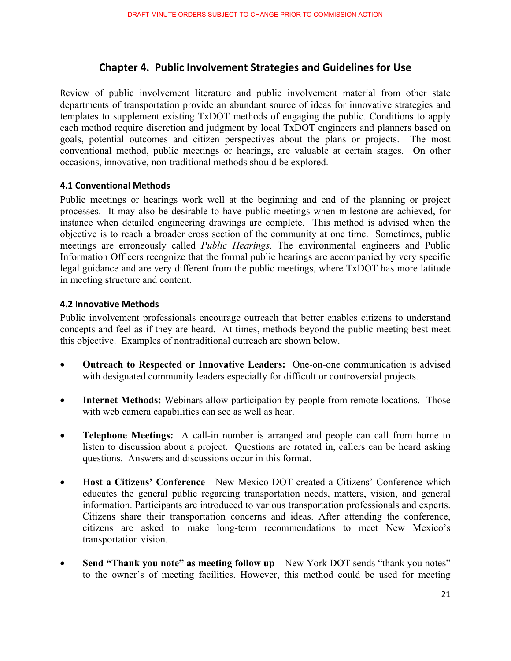## **Chapter 4. Public Involvement Strategies and Guidelines for Use**

Review of public involvement literature and public involvement material from other state departments of transportation provide an abundant source of ideas for innovative strategies and templates to supplement existing TxDOT methods of engaging the public. Conditions to apply each method require discretion and judgment by local TxDOT engineers and planners based on goals, potential outcomes and citizen perspectives about the plans or projects. The most conventional method, public meetings or hearings, are valuable at certain stages. On other occasions, innovative, non-traditional methods should be explored.

#### **4.1 Conventional Methods**

Public meetings or hearings work well at the beginning and end of the planning or project processes. It may also be desirable to have public meetings when milestone are achieved, for instance when detailed engineering drawings are complete. This method is advised when the objective is to reach a broader cross section of the community at one time. Sometimes, public meetings are erroneously called *Public Hearings*. The environmental engineers and Public Information Officers recognize that the formal public hearings are accompanied by very specific legal guidance and are very different from the public meetings, where TxDOT has more latitude in meeting structure and content.

#### **4.2 Innovative Methods**

Public involvement professionals encourage outreach that better enables citizens to understand concepts and feel as if they are heard. At times, methods beyond the public meeting best meet this objective. Examples of nontraditional outreach are shown below.

- - **Outreach to Respected or Innovative Leaders:** One-on-one communication is advised with designated community leaders especially for difficult or controversial projects.
- $\bullet$ **Internet Methods:** Webinars allow participation by people from remote locations. Those with web camera capabilities can see as well as hear.
- - **Telephone Meetings:** A call-in number is arranged and people can call from home to listen to discussion about a project. Questions are rotated in, callers can be heard asking questions. Answers and discussions occur in this format.
- $\bullet$  **Host a Citizens' Conference** - New Mexico DOT created a Citizens' Conference which educates the general public regarding transportation needs, matters, vision, and general information. Participants are introduced to various transportation professionals and experts. Citizens share their transportation concerns and ideas. After attending the conference, citizens are asked to make long-term recommendations to meet New Mexico's transportation vision.
- $\bullet$ **Send "Thank you note" as meeting follow up** – New York DOT sends "thank you notes" to the owner's of meeting facilities. However, this method could be used for meeting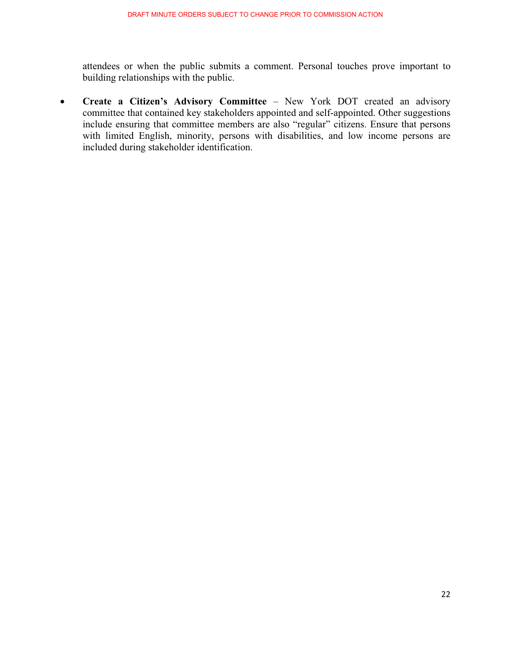attendees or when the public submits a comment. Personal touches prove important to building relationships with the public.

 $\bullet$  **Create a Citizen's Advisory Committee** – New York DOT created an advisory committee that contained key stakeholders appointed and self-appointed. Other suggestions include ensuring that committee members are also "regular" citizens. Ensure that persons with limited English, minority, persons with disabilities, and low income persons are included during stakeholder identification.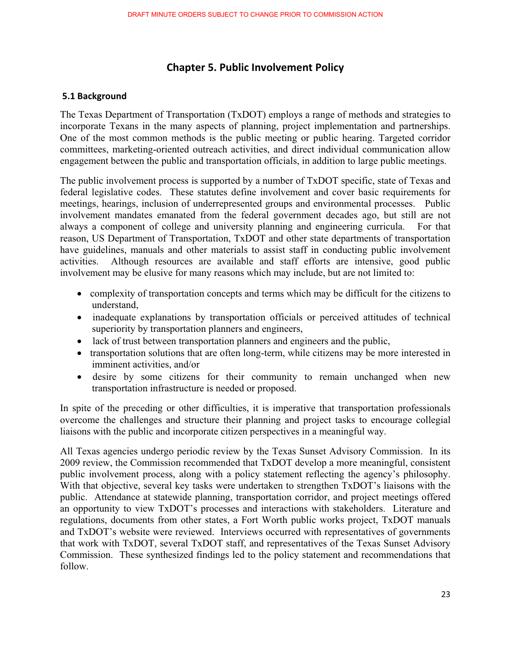## **Chapter 5. Public Involvement Policy**

#### **-5.1-Background-**

The Texas Department of Transportation (TxDOT) employs a range of methods and strategies to incorporate Texans in the many aspects of planning, project implementation and partnerships. One of the most common methods is the public meeting or public hearing. Targeted corridor committees, marketing-oriented outreach activities, and direct individual communication allow engagement between the public and transportation officials, in addition to large public meetings.

The public involvement process is supported by a number of TxDOT specific, state of Texas and federal legislative codes. These statutes define involvement and cover basic requirements for meetings, hearings, inclusion of underrepresented groups and environmental processes. Public involvement mandates emanated from the federal government decades ago, but still are not always a component of college and university planning and engineering curricula. For that reason, US Department of Transportation, TxDOT and other state departments of transportation have guidelines, manuals and other materials to assist staff in conducting public involvement activities. Although resources are available and staff efforts are intensive, good public involvement may be elusive for many reasons which may include, but are not limited to:

- complexity of transportation concepts and terms which may be difficult for the citizens to understand,
- inadequate explanations by transportation officials or perceived attitudes of technical superiority by transportation planners and engineers,
- lack of trust between transportation planners and engineers and the public,
- transportation solutions that are often long-term, while citizens may be more interested in imminent activities, and/or
- desire by some citizens for their community to remain unchanged when new transportation infrastructure is needed or proposed.

In spite of the preceding or other difficulties, it is imperative that transportation professionals overcome the challenges and structure their planning and project tasks to encourage collegial liaisons with the public and incorporate citizen perspectives in a meaningful way.

All Texas agencies undergo periodic review by the Texas Sunset Advisory Commission. In its 2009 review, the Commission recommended that TxDOT develop a more meaningful, consistent public involvement process, along with a policy statement reflecting the agency's philosophy. With that objective, several key tasks were undertaken to strengthen TxDOT's liaisons with the public. Attendance at statewide planning, transportation corridor, and project meetings offered an opportunity to view TxDOT's processes and interactions with stakeholders. Literature and regulations, documents from other states, a Fort Worth public works project, TxDOT manuals and TxDOT's website were reviewed. Interviews occurred with representatives of governments that work with TxDOT, several TxDOT staff, and representatives of the Texas Sunset Advisory Commission. These synthesized findings led to the policy statement and recommendations that follow.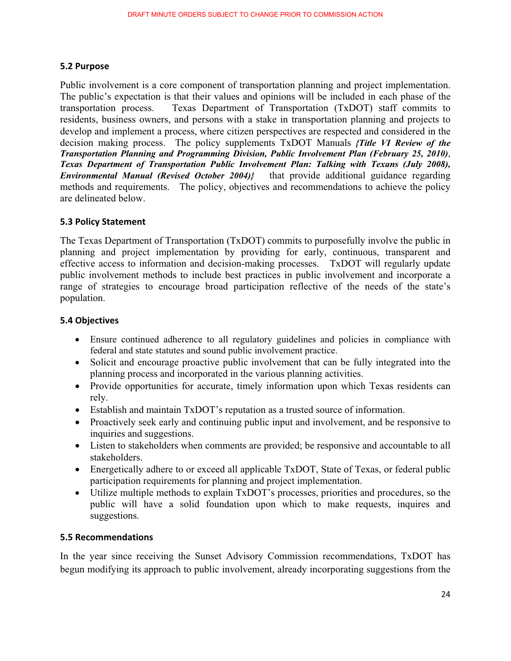#### 5.2 Purpose

Public involvement is a core component of transportation planning and project implementation. The public's expectation is that their values and opinions will be included in each phase of the transportation process. Texas Department of Transportation (TxDOT) staff commits to residents, business owners, and persons with a stake in transportation planning and projects to develop and implement a process, where citizen perspectives are respected and considered in the decision making process. The policy supplements TxDOT Manuals *{Title VI Review of the Transportation Planning and Programming Division, Public Involvement Plan (February 25, 2010)*, *Texas Department of Transportation Public Involvement Plan: Talking with Texans (July 2008), Environmental Manual (Revised October 2004)}* that provide additional guidance regarding methods and requirements. The policy, objectives and recommendations to achieve the policy are delineated below.

#### **5.3 Policy Statement**

The Texas Department of Transportation (TxDOT) commits to purposefully involve the public in planning and project implementation by providing for early, continuous, transparent and effective access to information and decision-making processes. TxDOT will regularly update public involvement methods to include best practices in public involvement and incorporate a range of strategies to encourage broad participation reflective of the needs of the state's population.

#### **5.4-Objectives-**

- Ensure continued adherence to all regulatory guidelines and policies in compliance with federal and state statutes and sound public involvement practice.
- Solicit and encourage proactive public involvement that can be fully integrated into the planning process and incorporated in the various planning activities.
- Provide opportunities for accurate, timely information upon which Texas residents can rely.
- Establish and maintain TxDOT's reputation as a trusted source of information.
- Proactively seek early and continuing public input and involvement, and be responsive to inquiries and suggestions.
- Listen to stakeholders when comments are provided; be responsive and accountable to all stakeholders.
- Energetically adhere to or exceed all applicable TxDOT, State of Texas, or federal public participation requirements for planning and project implementation.
- Utilize multiple methods to explain TxDOT's processes, priorities and procedures, so the public will have a solid foundation upon which to make requests, inquires and suggestions.

#### **5.5 Recommendations**

In the year since receiving the Sunset Advisory Commission recommendations, TxDOT has begun modifying its approach to public involvement, already incorporating suggestions from the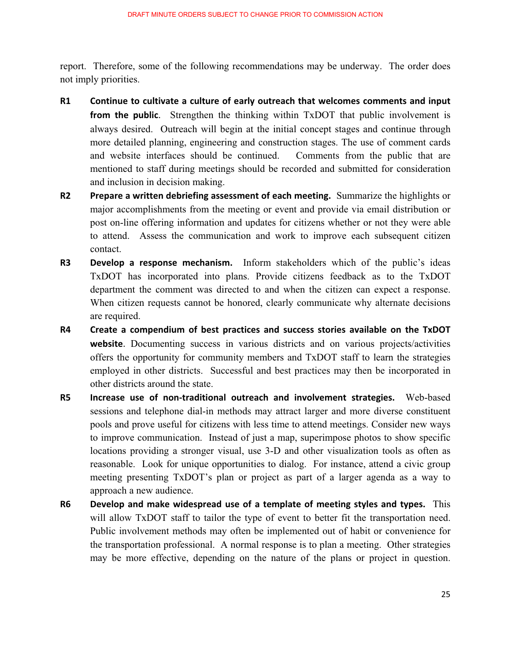report. Therefore, some of the following recommendations may be underway. The order does not imply priorities.

- **R1-Continue to cultivate a culture of early outreach that welcomes comments and input from the public.** Strengthen the thinking within TxDOT that public involvement is always desired. Outreach will begin at the initial concept stages and continue through more detailed planning, engineering and construction stages. The use of comment cards and website interfaces should be continued. Comments from the public that are mentioned to staff during meetings should be recorded and submitted for consideration and inclusion in decision making.
- **R2-Prepare a written debriefing assessment of each meeting.** Summarize the highlights or major accomplishments from the meeting or event and provide via email distribution or post on-line offering information and updates for citizens whether or not they were able to attend. Assess the communication and work to improve each subsequent citizen contact.
- **R3-Develop a response mechanism.** Inform stakeholders which of the public's ideas TxDOT has incorporated into plans. Provide citizens feedback as to the TxDOT department the comment was directed to and when the citizen can expect a response. When citizen requests cannot be honored, clearly communicate why alternate decisions are required.
- **R4--**Create a compendium of best practices and success stories available on the TxDOT **website**. Documenting success in various districts and on various projects/activities offers the opportunity for community members and TxDOT staff to learn the strategies employed in other districts. Successful and best practices may then be incorporated in other districts around the state.
- **R5-**Increase use of non-traditional outreach and involvement strategies. Web-based sessions and telephone dial-in methods may attract larger and more diverse constituent pools and prove useful for citizens with less time to attend meetings. Consider new ways to improve communication. Instead of just a map, superimpose photos to show specific locations providing a stronger visual, use 3-D and other visualization tools as often as reasonable. Look for unique opportunities to dialog. For instance, attend a civic group meeting presenting TxDOT's plan or project as part of a larger agenda as a way to approach a new audience.
- **R6-Develop and make widespread use of a template of meeting styles and types. This** will allow TxDOT staff to tailor the type of event to better fit the transportation need. Public involvement methods may often be implemented out of habit or convenience for the transportation professional. A normal response is to plan a meeting. Other strategies may be more effective, depending on the nature of the plans or project in question.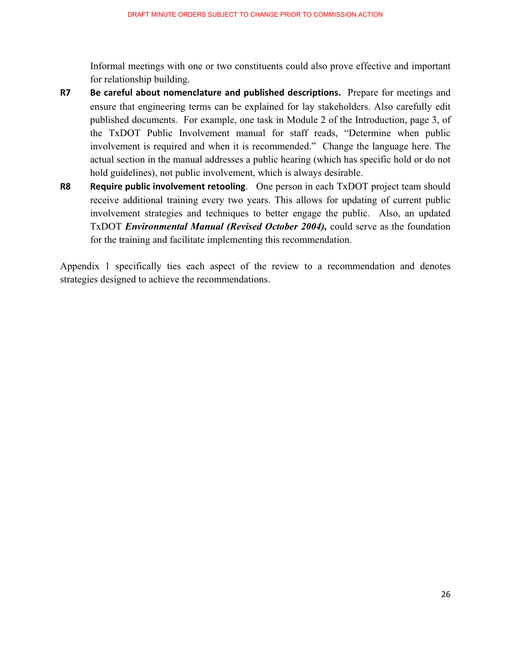Informal meetings with one or two constituents could also prove effective and important for relationship building.

- **R7-Be careful about nomenclature and published descriptions.** Prepare for meetings and ensure that engineering terms can be explained for lay stakeholders. Also carefully edit published documents. For example, one task in Module 2 of the Introduction, page 3, of the TxDOT Public Involvement manual for staff reads, "Determine when public involvement is required and when it is recommended." Change the language here. The actual section in the manual addresses a public hearing (which has specific hold or do not hold guidelines), not public involvement, which is always desirable.
- **R8-Require public involvement retooling.** One person in each TxDOT project team should receive additional training every two years. This allows for updating of current public involvement strategies and techniques to better engage the public. Also, an updated TxDOT *Environmental Manual (Revised October 2004),* could serve as the foundation for the training and facilitate implementing this recommendation.

Appendix 1 specifically ties each aspect of the review to a recommendation and denotes strategies designed to achieve the recommendations.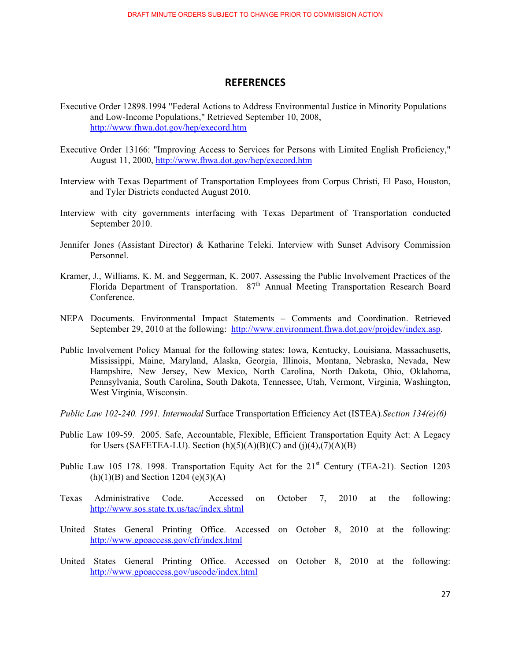#### **REFERENCES-**

- Executive Order 12898.1994 "Federal Actions to Address Environmental Justice in Minority Populations and Low-Income Populations," Retrieved September 10, 2008, http://www.fhwa.dot.gov/hep/execord.htm
- Executive Order 13166: "Improving Access to Services for Persons with Limited English Proficiency," August 11, 2000, http://www.fhwa.dot.gov/hep/execord.htm
- Interview with Texas Department of Transportation Employees from Corpus Christi, El Paso, Houston, and Tyler Districts conducted August 2010.
- Interview with city governments interfacing with Texas Department of Transportation conducted September 2010.
- Jennifer Jones (Assistant Director) & Katharine Teleki. Interview with Sunset Advisory Commission Personnel.
- Kramer, J., Williams, K. M. and Seggerman, K. 2007. Assessing the Public Involvement Practices of the Florida Department of Transportation. 87<sup>th</sup> Annual Meeting Transportation Research Board Conference.
- NEPA Documents. Environmental Impact Statements Comments and Coordination. Retrieved September 29, 2010 at the following: http://www.environment.fhwa.dot.gov/projdev/index.asp.
- Public Involvement Policy Manual for the following states: Iowa, Kentucky, Louisiana, Massachusetts, Mississippi, Maine, Maryland, Alaska, Georgia, Illinois, Montana, Nebraska, Nevada, New Hampshire, New Jersey, New Mexico, North Carolina, North Dakota, Ohio, Oklahoma, Pennsylvania, South Carolina, South Dakota, Tennessee, Utah, Vermont, Virginia, Washington, West Virginia, Wisconsin.
- *Public Law 102-240. 1991. Intermodal* Surface Transportation Efficiency Act (ISTEA)*.Section 134(e)(6)*
- Public Law 109-59. 2005. Safe, Accountable, Flexible, Efficient Transportation Equity Act: A Legacy for Users (SAFETEA-LU). Section  $(h)(5)(A)(B)(C)$  and  $(j)(4),(7)(A)(B)$
- Public Law 105 178. 1998. Transportation Equity Act for the 21<sup>st</sup> Century (TEA-21). Section 1203  $(h)(1)(B)$  and Section 1204 (e)(3)(A)
- Texas Administrative Code. Accessed on October 7, 2010 at the following: http://www.sos.state.tx.us/tac/index.shtml
- United States General Printing Office. Accessed on October 8, 2010 at the following: http://www.gpoaccess.gov/cfr/index.html
- United States General Printing Office. Accessed on October 8, 2010 at the following: http://www.gpoaccess.gov/uscode/index.html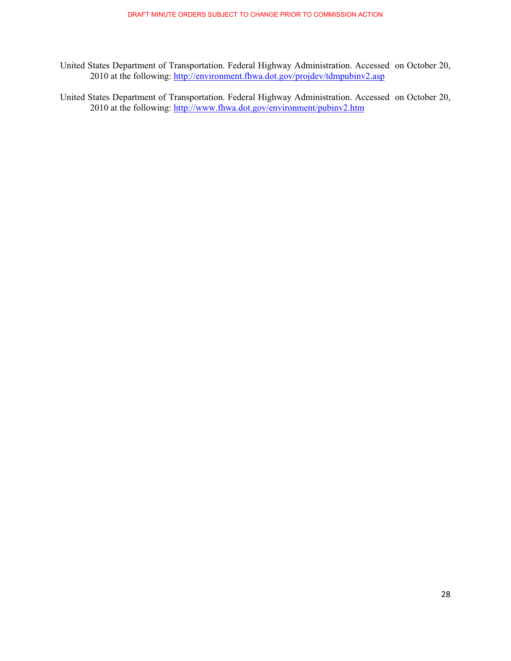- United States Department of Transportation. Federal Highway Administration. Accessed on October 20, 2010 at the following: http://environment.fhwa.dot.gov/projdev/tdmpubinv2.asp
- United States Department of Transportation. Federal Highway Administration. Accessed on October 20, 2010 at the following: http://www.fhwa.dot.gov/environment/pubinv2.htm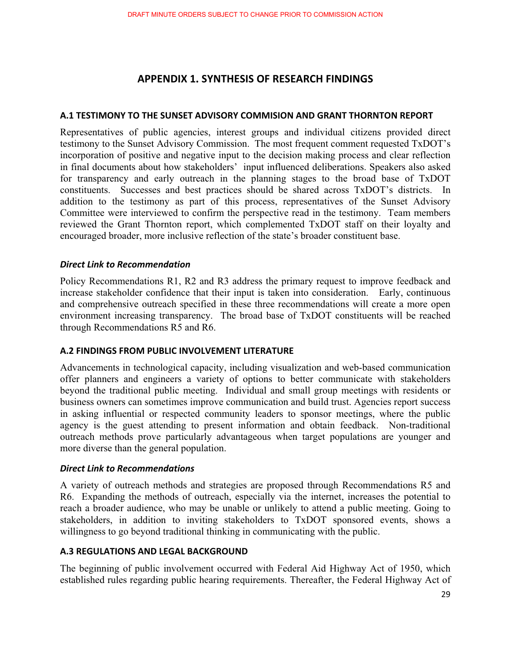## **APPENDIX-1. SYNTHESIS-OF-RESEARCH-FINDINGS**

#### **A.1 TESTIMONY TO THE SUNSET ADVISORY COMMISION AND GRANT THORNTON REPORT**

Representatives of public agencies, interest groups and individual citizens provided direct testimony to the Sunset Advisory Commission. The most frequent comment requested TxDOT's incorporation of positive and negative input to the decision making process and clear reflection in final documents about how stakeholders' input influenced deliberations. Speakers also asked for transparency and early outreach in the planning stages to the broad base of TxDOT constituents. Successes and best practices should be shared across TxDOT's districts. In addition to the testimony as part of this process, representatives of the Sunset Advisory Committee were interviewed to confirm the perspective read in the testimony. Team members reviewed the Grant Thornton report, which complemented TxDOT staff on their loyalty and encouraged broader, more inclusive reflection of the state's broader constituent base.

## *Direct-Link-to-Recommendation-*

Policy Recommendations R1, R2 and R3 address the primary request to improve feedback and increase stakeholder confidence that their input is taken into consideration. Early, continuous and comprehensive outreach specified in these three recommendations will create a more open environment increasing transparency. The broad base of TxDOT constituents will be reached through Recommendations R5 and R6.

#### **A.2 FINDINGS FROM PUBLIC INVOLVEMENT LITERATURE**

Advancements in technological capacity, including visualization and web-based communication offer planners and engineers a variety of options to better communicate with stakeholders beyond the traditional public meeting. Individual and small group meetings with residents or business owners can sometimes improve communication and build trust. Agencies report success in asking influential or respected community leaders to sponsor meetings, where the public agency is the guest attending to present information and obtain feedback. Non-traditional outreach methods prove particularly advantageous when target populations are younger and more diverse than the general population.

## *Direct-Link-to-Recommendations-*

A variety of outreach methods and strategies are proposed through Recommendations R5 and R6. Expanding the methods of outreach, especially via the internet, increases the potential to reach a broader audience, who may be unable or unlikely to attend a public meeting. Going to stakeholders, in addition to inviting stakeholders to TxDOT sponsored events, shows a willingness to go beyond traditional thinking in communicating with the public.

#### **A.3 REGULATIONS AND LEGAL BACKGROUND**

The beginning of public involvement occurred with Federal Aid Highway Act of 1950, which established rules regarding public hearing requirements. Thereafter, the Federal Highway Act of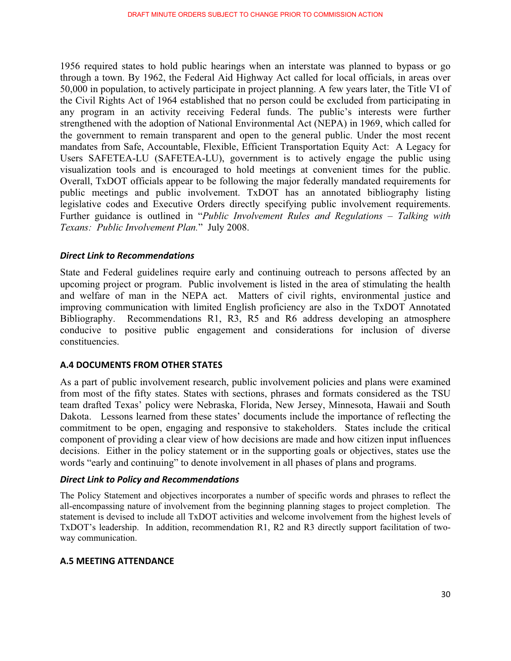1956 required states to hold public hearings when an interstate was planned to bypass or go through a town. By 1962, the Federal Aid Highway Act called for local officials, in areas over 50,000 in population, to actively participate in project planning. A few years later, the Title VI of the Civil Rights Act of 1964 established that no person could be excluded from participating in any program in an activity receiving Federal funds. The public's interests were further strengthened with the adoption of National Environmental Act (NEPA) in 1969, which called for the government to remain transparent and open to the general public. Under the most recent mandates from Safe, Accountable, Flexible, Efficient Transportation Equity Act: A Legacy for Users SAFETEA-LU (SAFETEA-LU), government is to actively engage the public using visualization tools and is encouraged to hold meetings at convenient times for the public. Overall, TxDOT officials appear to be following the major federally mandated requirements for public meetings and public involvement. TxDOT has an annotated bibliography listing legislative codes and Executive Orders directly specifying public involvement requirements. Further guidance is outlined in "*Public Involvement Rules and Regulations – Talking with Texans: Public Involvement Plan.*" July 2008.

## *Direct-Link-to-Recommendations-*

State and Federal guidelines require early and continuing outreach to persons affected by an upcoming project or program. Public involvement is listed in the area of stimulating the health and welfare of man in the NEPA act. Matters of civil rights, environmental justice and improving communication with limited English proficiency are also in the TxDOT Annotated Bibliography. Recommendations R1, R3, R5 and R6 address developing an atmosphere conducive to positive public engagement and considerations for inclusion of diverse constituencies.

#### **A.4 DOCUMENTS FROM OTHER STATES**

As a part of public involvement research, public involvement policies and plans were examined from most of the fifty states. States with sections, phrases and formats considered as the TSU team drafted Texas' policy were Nebraska, Florida, New Jersey, Minnesota, Hawaii and South Dakota. Lessons learned from these states' documents include the importance of reflecting the commitment to be open, engaging and responsive to stakeholders. States include the critical component of providing a clear view of how decisions are made and how citizen input influences decisions. Either in the policy statement or in the supporting goals or objectives, states use the words "early and continuing" to denote involvement in all phases of plans and programs.

## *Direct-Link-to-Policy-and-Recommendations-*

The Policy Statement and objectives incorporates a number of specific words and phrases to reflect the all-encompassing nature of involvement from the beginning planning stages to project completion. The statement is devised to include all TxDOT activities and welcome involvement from the highest levels of TxDOT's leadership. In addition, recommendation R1, R2 and R3 directly support facilitation of twoway communication.

#### **A.5 MEETING ATTENDANCE**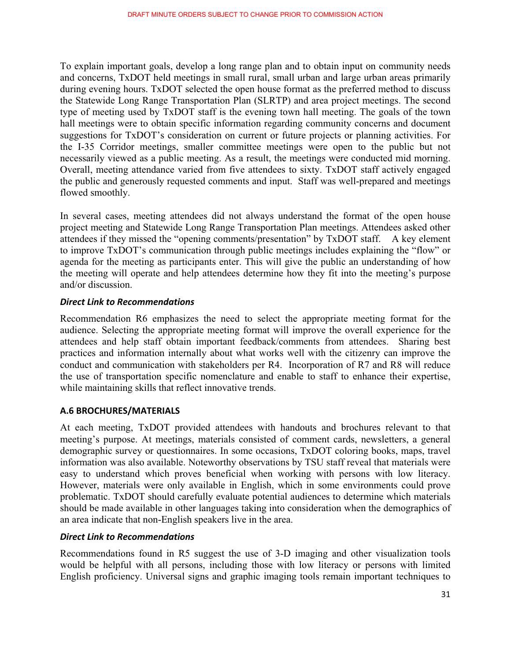To explain important goals, develop a long range plan and to obtain input on community needs and concerns, TxDOT held meetings in small rural, small urban and large urban areas primarily during evening hours. TxDOT selected the open house format as the preferred method to discuss the Statewide Long Range Transportation Plan (SLRTP) and area project meetings. The second type of meeting used by TxDOT staff is the evening town hall meeting. The goals of the town hall meetings were to obtain specific information regarding community concerns and document suggestions for TxDOT's consideration on current or future projects or planning activities. For the I-35 Corridor meetings, smaller committee meetings were open to the public but not necessarily viewed as a public meeting. As a result, the meetings were conducted mid morning. Overall, meeting attendance varied from five attendees to sixty. TxDOT staff actively engaged the public and generously requested comments and input. Staff was well-prepared and meetings flowed smoothly.

In several cases, meeting attendees did not always understand the format of the open house project meeting and Statewide Long Range Transportation Plan meetings. Attendees asked other attendees if they missed the "opening comments/presentation" by TxDOT staff. A key element to improve TxDOT's communication through public meetings includes explaining the "flow" or agenda for the meeting as participants enter. This will give the public an understanding of how the meeting will operate and help attendees determine how they fit into the meeting's purpose and/or discussion.

## *Direct-Link-to-Recommendations-*

Recommendation R6 emphasizes the need to select the appropriate meeting format for the audience. Selecting the appropriate meeting format will improve the overall experience for the attendees and help staff obtain important feedback/comments from attendees. Sharing best practices and information internally about what works well with the citizenry can improve the conduct and communication with stakeholders per R4. Incorporation of R7 and R8 will reduce the use of transportation specific nomenclature and enable to staff to enhance their expertise, while maintaining skills that reflect innovative trends.

#### **A.6-BROCHURES/MATERIALS-**

At each meeting, TxDOT provided attendees with handouts and brochures relevant to that meeting's purpose. At meetings, materials consisted of comment cards, newsletters, a general demographic survey or questionnaires. In some occasions, TxDOT coloring books, maps, travel information was also available. Noteworthy observations by TSU staff reveal that materials were easy to understand which proves beneficial when working with persons with low literacy. However, materials were only available in English, which in some environments could prove problematic. TxDOT should carefully evaluate potential audiences to determine which materials should be made available in other languages taking into consideration when the demographics of an area indicate that non-English speakers live in the area.

## *Direct-Link-to-Recommendations-*

Recommendations found in R5 suggest the use of 3-D imaging and other visualization tools would be helpful with all persons, including those with low literacy or persons with limited English proficiency. Universal signs and graphic imaging tools remain important techniques to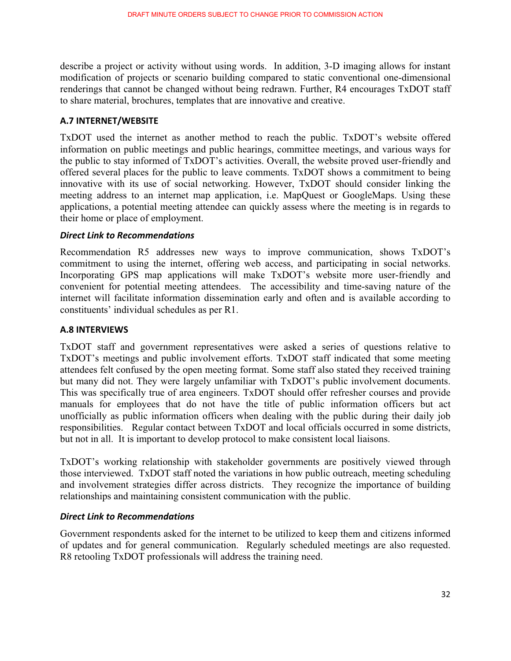describe a project or activity without using words. In addition, 3-D imaging allows for instant modification of projects or scenario building compared to static conventional one-dimensional renderings that cannot be changed without being redrawn. Further, R4 encourages TxDOT staff to share material, brochures, templates that are innovative and creative.

#### **A.7-INTERNET/WEBSITE-**

TxDOT used the internet as another method to reach the public. TxDOT's website offered information on public meetings and public hearings, committee meetings, and various ways for the public to stay informed of TxDOT's activities. Overall, the website proved user-friendly and offered several places for the public to leave comments. TxDOT shows a commitment to being innovative with its use of social networking. However, TxDOT should consider linking the meeting address to an internet map application, i.e. MapQuest or GoogleMaps. Using these applications, a potential meeting attendee can quickly assess where the meeting is in regards to their home or place of employment.

## *Direct-Link-to-Recommendations-*

Recommendation R5 addresses new ways to improve communication, shows TxDOT's commitment to using the internet, offering web access, and participating in social networks. Incorporating GPS map applications will make TxDOT's website more user-friendly and convenient for potential meeting attendees. The accessibility and time-saving nature of the internet will facilitate information dissemination early and often and is available according to constituents' individual schedules as per R1.

#### **A.8-INTERVIEWS-**

TxDOT staff and government representatives were asked a series of questions relative to TxDOT's meetings and public involvement efforts. TxDOT staff indicated that some meeting attendees felt confused by the open meeting format. Some staff also stated they received training but many did not. They were largely unfamiliar with TxDOT's public involvement documents. This was specifically true of area engineers. TxDOT should offer refresher courses and provide manuals for employees that do not have the title of public information officers but act unofficially as public information officers when dealing with the public during their daily job responsibilities. Regular contact between TxDOT and local officials occurred in some districts, but not in all. It is important to develop protocol to make consistent local liaisons.

TxDOT's working relationship with stakeholder governments are positively viewed through those interviewed. TxDOT staff noted the variations in how public outreach, meeting scheduling and involvement strategies differ across districts. They recognize the importance of building relationships and maintaining consistent communication with the public.

## *Direct-Link-to-Recommendations-*

Government respondents asked for the internet to be utilized to keep them and citizens informed of updates and for general communication. Regularly scheduled meetings are also requested. R8 retooling TxDOT professionals will address the training need.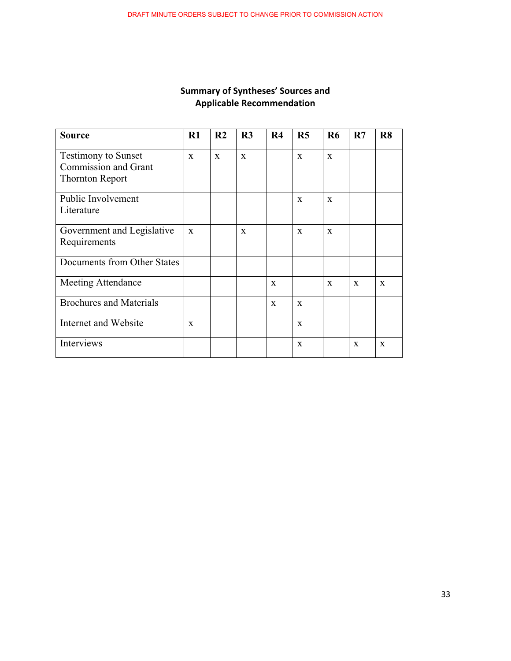#### Summary of Syntheses' Sources and **Applicable-Recommendation-**

| <b>Source</b>                                                                       | $R1$         | R <sub>2</sub> | R <sub>3</sub> | R <sub>4</sub> | R <sub>5</sub> | <b>R6</b>    | R7           | R8           |
|-------------------------------------------------------------------------------------|--------------|----------------|----------------|----------------|----------------|--------------|--------------|--------------|
| <b>Testimony to Sunset</b><br><b>Commission and Grant</b><br><b>Thornton Report</b> | $\mathbf{x}$ | $\mathbf{x}$   | $\mathbf{x}$   |                | $\mathbf{x}$   | $\mathbf{x}$ |              |              |
| Public Involvement<br>Literature                                                    |              |                |                |                | $\mathbf{x}$   | X            |              |              |
| Government and Legislative<br>Requirements                                          | $\mathbf{x}$ |                | $\mathbf{x}$   |                | $\mathbf{x}$   | $\mathbf{x}$ |              |              |
| Documents from Other States                                                         |              |                |                |                |                |              |              |              |
| <b>Meeting Attendance</b>                                                           |              |                |                | $\mathbf{x}$   |                | $\mathbf{x}$ | $\mathbf{x}$ | $\mathbf{x}$ |
| <b>Brochures and Materials</b>                                                      |              |                |                | $\mathbf{x}$   | $\mathbf{x}$   |              |              |              |
| Internet and Website                                                                | $\mathbf{x}$ |                |                |                | $\mathbf{x}$   |              |              |              |
| Interviews                                                                          |              |                |                |                | X              |              | $\mathbf{x}$ | $\mathbf{x}$ |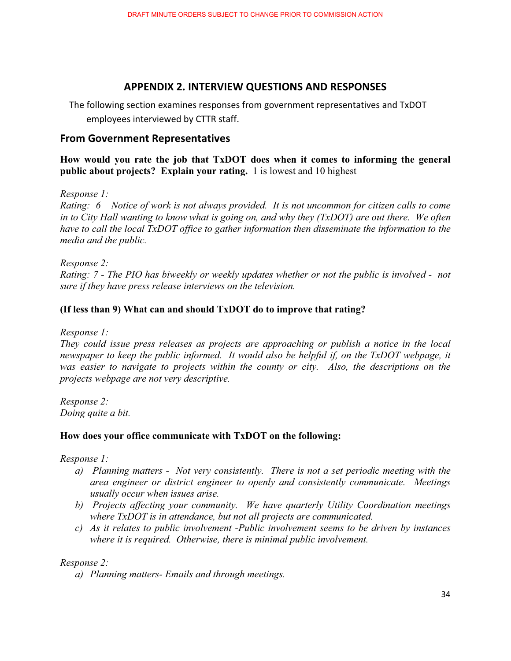## **APPENDIX-2. INTERVIEW-QUESTIONS-AND-RESPONSES-**

The following section examines responses from government representatives and TxDOT employees interviewed by CTTR staff.

## **From-Government-Representatives-**

**How would you rate the job that TxDOT does when it comes to informing the general public about projects? Explain your rating.** 1 is lowest and 10 highest

*Response 1:* 

*Rating: 6 – Notice of work is not always provided. It is not uncommon for citizen calls to come in to City Hall wanting to know what is going on, and why they (TxDOT) are out there. We often have to call the local TxDOT office to gather information then disseminate the information to the media and the public.* 

*Response 2: Rating: 7 - The PIO has biweekly or weekly updates whether or not the public is involved - not sure if they have press release interviews on the television.* 

#### **(If less than 9) What can and should TxDOT do to improve that rating?**

*Response 1:*

*They could issue press releases as projects are approaching or publish a notice in the local newspaper to keep the public informed. It would also be helpful if, on the TxDOT webpage, it was easier to navigate to projects within the county or city. Also, the descriptions on the projects webpage are not very descriptive.* 

*Response 2: Doing quite a bit.* 

#### **How does your office communicate with TxDOT on the following:**

*Response 1:* 

- *a) Planning matters Not very consistently. There is not a set periodic meeting with the area engineer or district engineer to openly and consistently communicate. Meetings usually occur when issues arise.*
- *b) Projects affecting your community. We have quarterly Utility Coordination meetings where TxDOT is in attendance, but not all projects are communicated.*
- *c) As it relates to public involvement -Public involvement seems to be driven by instances where it is required. Otherwise, there is minimal public involvement.*

*Response 2:* 

*a) Planning matters- Emails and through meetings.*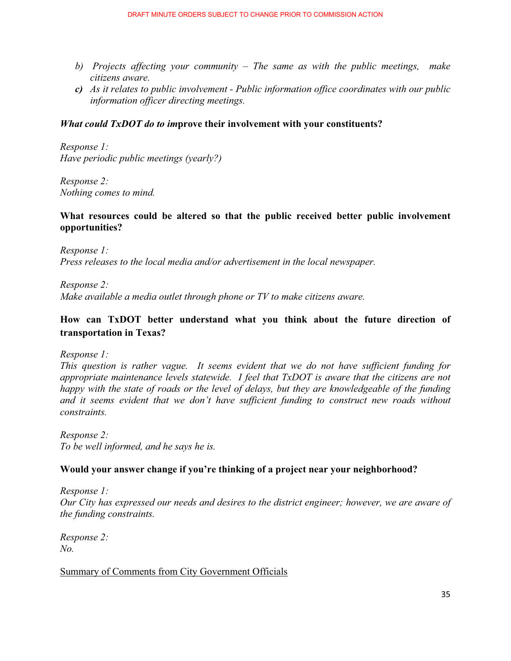- *b) Projects affecting your community The same as with the public meetings, make citizens aware.*
- *c) As it relates to public involvement Public information office coordinates with our public information officer directing meetings.*

#### *What could TxDOT do to im***prove their involvement with your constituents?**

*Response 1: Have periodic public meetings (yearly?)* 

*Response 2: Nothing comes to mind.* 

#### **What resources could be altered so that the public received better public involvement opportunities?**

*Response 1: Press releases to the local media and/or advertisement in the local newspaper.* 

*Response 2: Make available a media outlet through phone or TV to make citizens aware.* 

## **How can TxDOT better understand what you think about the future direction of transportation in Texas?**

*Response 1:* 

*This question is rather vague. It seems evident that we do not have sufficient funding for appropriate maintenance levels statewide. I feel that TxDOT is aware that the citizens are not happy with the state of roads or the level of delays, but they are knowledgeable of the funding and it seems evident that we don't have sufficient funding to construct new roads without constraints.*

*Response 2: To be well informed, and he says he is.* 

#### **Would your answer change if you're thinking of a project near your neighborhood?**

*Response 1: Our City has expressed our needs and desires to the district engineer; however, we are aware of the funding constraints.* 

*Response 2: No.*

Summary of Comments from City Government Officials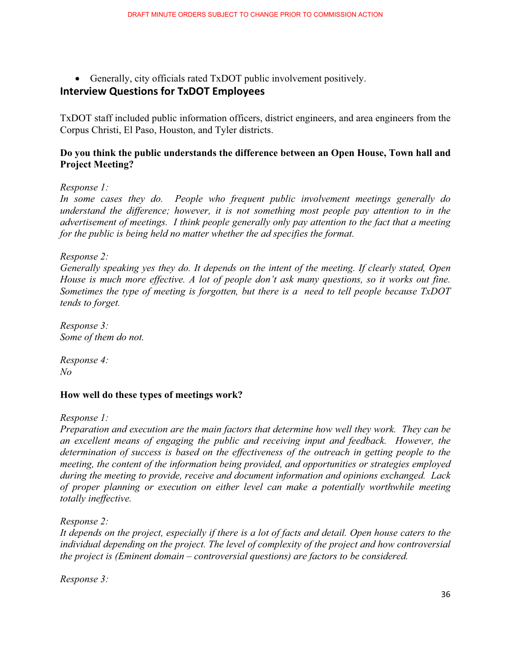- Generally, city officials rated TxDOT public involvement positively.

## **Interview-Questions-for-TxDOT-Employees-**

TxDOT staff included public information officers, district engineers, and area engineers from the Corpus Christi, El Paso, Houston, and Tyler districts.

#### **Do you think the public understands the difference between an Open House, Town hall and Project Meeting?**

#### *Response 1:*

*In some cases they do. People who frequent public involvement meetings generally do understand the difference; however, it is not something most people pay attention to in the advertisement of meetings. I think people generally only pay attention to the fact that a meeting for the public is being held no matter whether the ad specifies the format.* 

*Response 2:* 

*Generally speaking yes they do. It depends on the intent of the meeting. If clearly stated, Open House is much more effective. A lot of people don't ask many questions, so it works out fine. Sometimes the type of meeting is forgotten, but there is a need to tell people because TxDOT tends to forget.* 

*Response 3: Some of them do not.* 

*Response 4: No*

#### **How well do these types of meetings work?**

*Response 1:*

*Preparation and execution are the main factors that determine how well they work. They can be an excellent means of engaging the public and receiving input and feedback. However, the determination of success is based on the effectiveness of the outreach in getting people to the meeting, the content of the information being provided, and opportunities or strategies employed during the meeting to provide, receive and document information and opinions exchanged. Lack of proper planning or execution on either level can make a potentially worthwhile meeting totally ineffective.* 

*Response 2:* 

*It depends on the project, especially if there is a lot of facts and detail. Open house caters to the individual depending on the project. The level of complexity of the project and how controversial the project is (Eminent domain – controversial questions) are factors to be considered.* 

*Response 3:*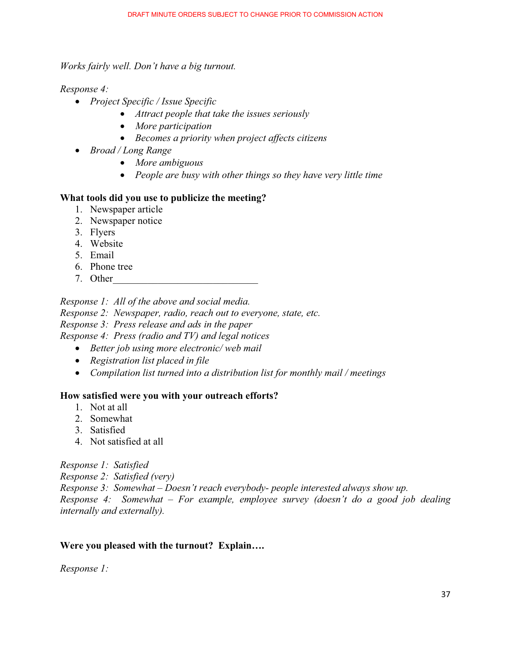*Works fairly well. Don't have a big turnout.* 

#### *Response 4:*

- *Project Specific / Issue Specific* 
	- *Attract people that take the issues seriously*
	- *More participation*
	- *Becomes a priority when project affects citizens*
- *Broad / Long Range* 
	- *More ambiguous*
	- *People are busy with other things so they have very little time*

#### **What tools did you use to publicize the meeting?**

- 1. Newspaper article
- 2. Newspaper notice
- 3. Flyers
- 4. Website
- 5. Email
- 6. Phone tree
- 7. Other

#### *Response 1: All of the above and social media.*

*Response 2: Newspaper, radio, reach out to everyone, state, etc.* 

*Response 3: Press release and ads in the paper* 

*Response 4: Press (radio and TV) and legal notices* 

- *Better job using more electronic/ web mail*
- *Registration list placed in file*
- *Compilation list turned into a distribution list for monthly mail / meetings*

#### **How satisfied were you with your outreach efforts?**

- 1. Not at all
- 2. Somewhat
- 3. Satisfied
- 4. Not satisfied at all

*Response 1: Satisfied* 

*Response 2: Satisfied (very)* 

*Response 3: Somewhat – Doesn't reach everybody- people interested always show up.* 

*Response 4: Somewhat – For example, employee survey (doesn't do a good job dealing internally and externally).* 

#### **Were you pleased with the turnout? Explain….**

*Response 1:*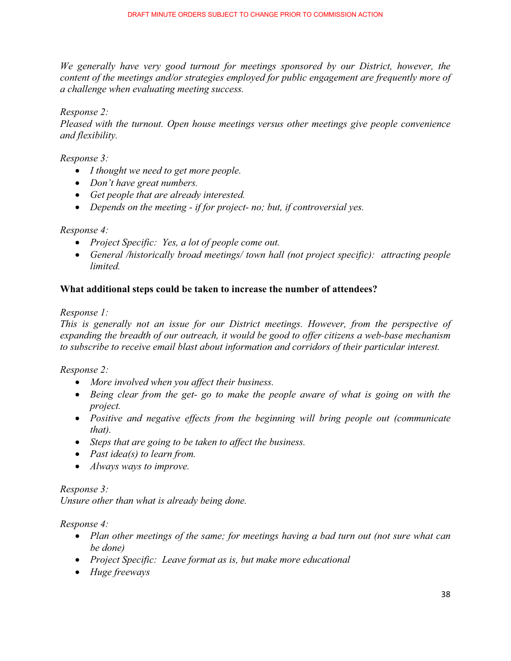*We generally have very good turnout for meetings sponsored by our District, however, the content of the meetings and/or strategies employed for public engagement are frequently more of a challenge when evaluating meeting success.* 

*Response 2:*

*Pleased with the turnout. Open house meetings versus other meetings give people convenience and flexibility.* 

*Response 3:* 

- *I thought we need to get more people.*
- *Don't have great numbers.*
- *Get people that are already interested.*
- Depends on the meeting if for project- no; but, if controversial yes.

#### *Response 4:*

- *Project Specific: Yes, a lot of people come out.*
- *General /historically broad meetings/ town hall (not project specific): attracting people limited.*

#### **What additional steps could be taken to increase the number of attendees?**

*Response 1:*

*This is generally not an issue for our District meetings. However, from the perspective of expanding the breadth of our outreach, it would be good to offer citizens a web-base mechanism to subscribe to receive email blast about information and corridors of their particular interest.* 

*Response 2:* 

- More involved when you affect their business.
- Being clear from the get- go to make the people aware of what is going on with the *project.*
- Positive and negative effects from the beginning will bring people out (communicate *that).*
- *Steps that are going to be taken to affect the business.*
- *Past idea(s) to learn from.*
- *Always ways to improve.*

#### *Response 3:*

*Unsure other than what is already being done.* 

*Response 4:*

- Plan other meetings of the same; for meetings having a bad turn out (not sure what can *be done)*
- *Project Specific: Leave format as is, but make more educational*
- *Huge freeways*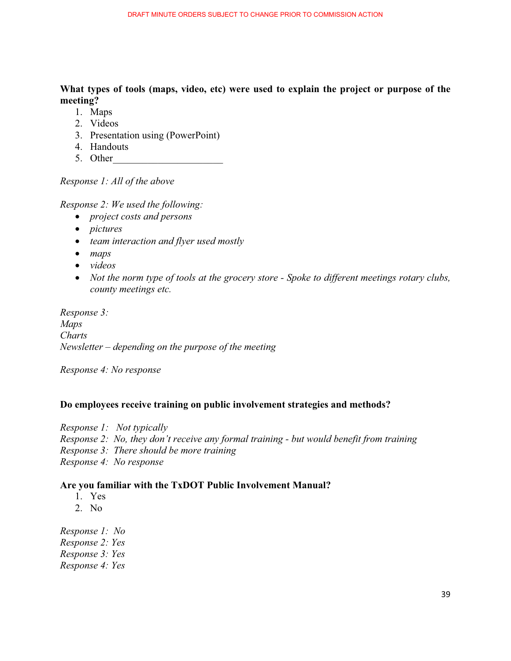**What types of tools (maps, video, etc) were used to explain the project or purpose of the meeting?**

- 1. Maps
- 2. Videos
- 3. Presentation using (PowerPoint)
- 4. Handouts
- 5. Other

*Response 1: All of the above* 

*Response 2: We used the following:* 

- *project costs and persons*
- *pictures*
- *team interaction and flyer used mostly*
- *maps*
- *videos*
- *Not the norm type of tools at the grocery store Spoke to different meetings rotary clubs, county meetings etc.*

*Response 3: Maps Charts Newsletter – depending on the purpose of the meeting* 

*Response 4: No response* 

#### **Do employees receive training on public involvement strategies and methods?**

*Response 1: Not typically Response 2: No, they don't receive any formal training - but would benefit from training Response 3: There should be more training Response 4: No response* 

#### **Are you familiar with the TxDOT Public Involvement Manual?**

- 1. Yes
- 2. No

*Response 1: No Response 2: Yes Response 3: Yes Response 4: Yes*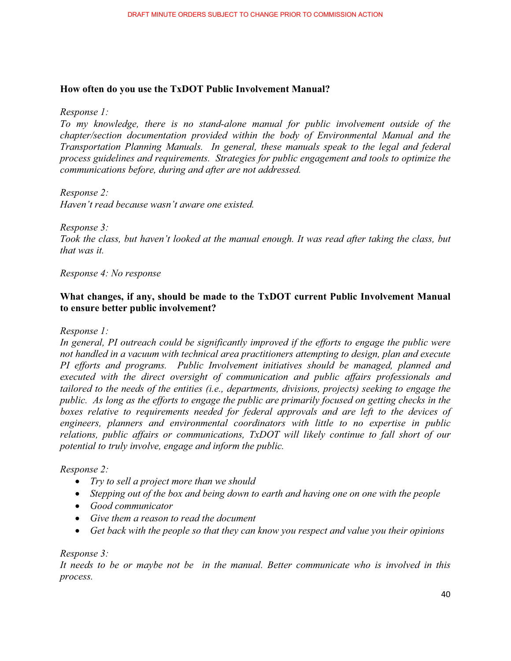#### **How often do you use the TxDOT Public Involvement Manual?**

#### *Response 1:*

*To my knowledge, there is no stand-alone manual for public involvement outside of the chapter/section documentation provided within the body of Environmental Manual and the Transportation Planning Manuals. In general, these manuals speak to the legal and federal process guidelines and requirements. Strategies for public engagement and tools to optimize the communications before, during and after are not addressed.* 

#### *Response 2:*

*Haven't read because wasn't aware one existed.* 

#### *Response 3:*

*Took the class, but haven't looked at the manual enough. It was read after taking the class, but that was it.* 

#### *Response 4: No response*

#### **What changes, if any, should be made to the TxDOT current Public Involvement Manual to ensure better public involvement?**

*Response 1:* 

*In general, PI outreach could be significantly improved if the efforts to engage the public were not handled in a vacuum with technical area practitioners attempting to design, plan and execute PI efforts and programs. Public Involvement initiatives should be managed, planned and executed with the direct oversight of communication and public affairs professionals and tailored to the needs of the entities (i.e., departments, divisions, projects) seeking to engage the public. As long as the efforts to engage the public are primarily focused on getting checks in the boxes relative to requirements needed for federal approvals and are left to the devices of engineers, planners and environmental coordinators with little to no expertise in public relations, public affairs or communications, TxDOT will likely continue to fall short of our potential to truly involve, engage and inform the public.*

#### *Response 2:*

- *Try to sell a project more than we should*
- *Stepping out of the box and being down to earth and having one on one with the people*
- *Good communicator*
- *Give them a reason to read the document*
- **•** Get back with the people so that they can know you respect and value you their opinions

#### *Response 3:*

*It needs to be or maybe not be in the manual. Better communicate who is involved in this process.*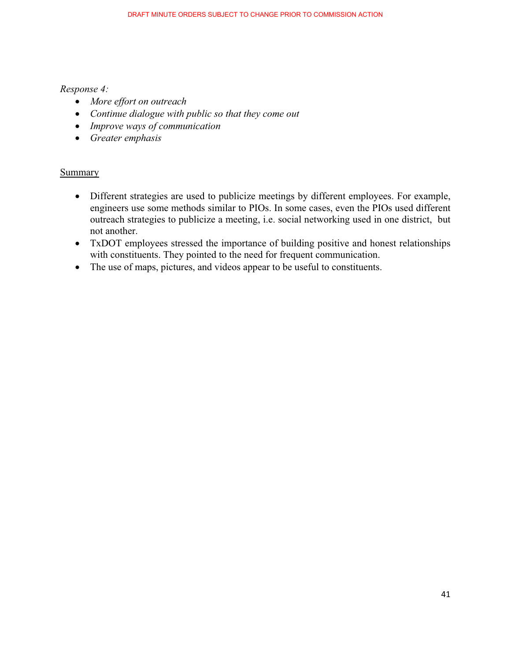#### *Response 4:*

- *More effort on outreach*
- *Continue dialogue with public so that they come out*
- *Improve ways of communication*
- *Greater emphasis*

#### **Summary**

- Different strategies are used to publicize meetings by different employees. For example, engineers use some methods similar to PIOs. In some cases, even the PIOs used different outreach strategies to publicize a meeting, i.e. social networking used in one district, but not another.
- TxDOT employees stressed the importance of building positive and honest relationships with constituents. They pointed to the need for frequent communication.
- The use of maps, pictures, and videos appear to be useful to constituents.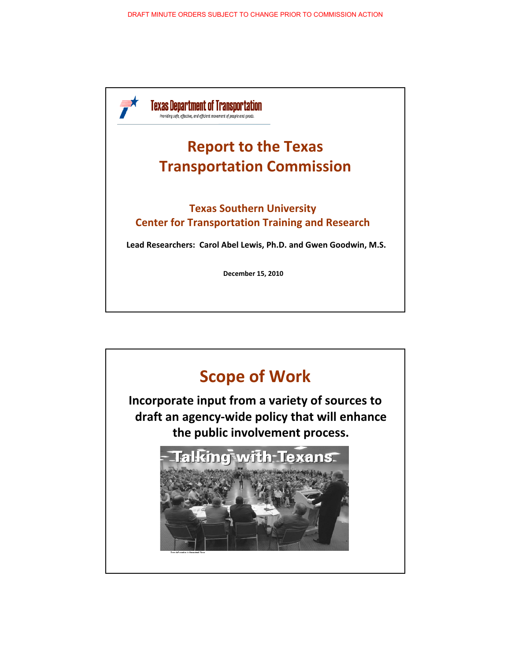

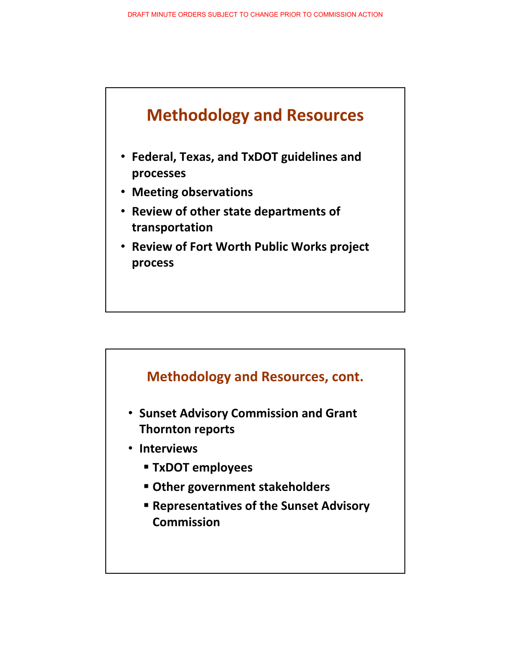

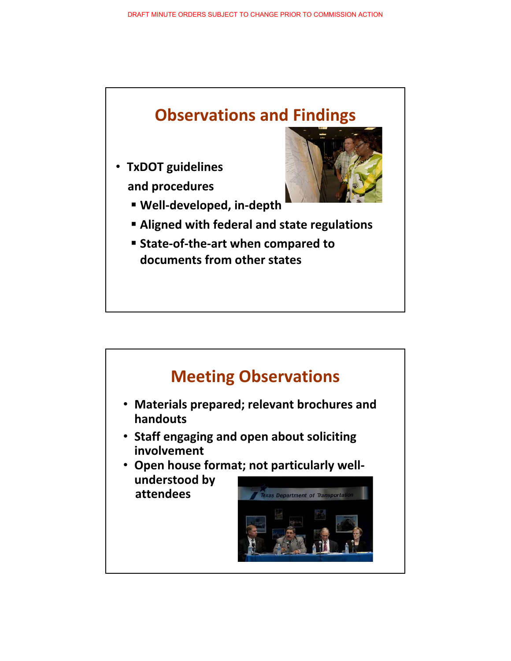

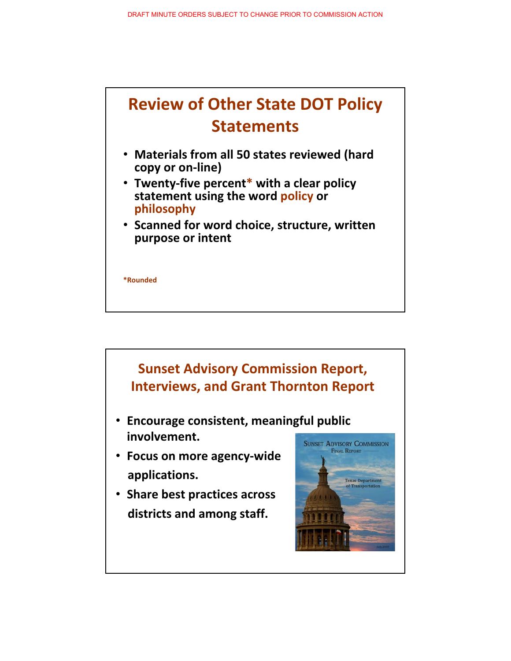

- **•** Materials from all 50 states reviewed (hard copy or on-line)
- **•** Twenty-five percent\* with a clear policy **statement using the word policy or philosophy**
- **Scanned for word choice, structure, written purpose-or-intent**

**\*Rounded**



- **Encourage consistent, meaningful public involvement.**
- **Focus on more agency-wide applications.**
- **•** Share best practices across **districts-and-among-staff.**

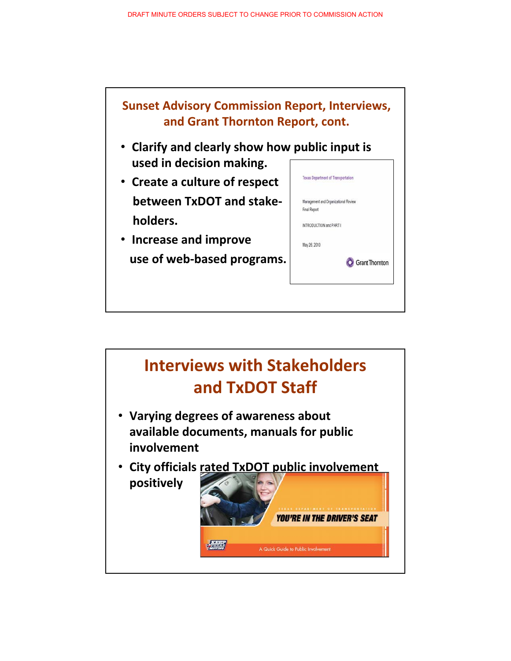

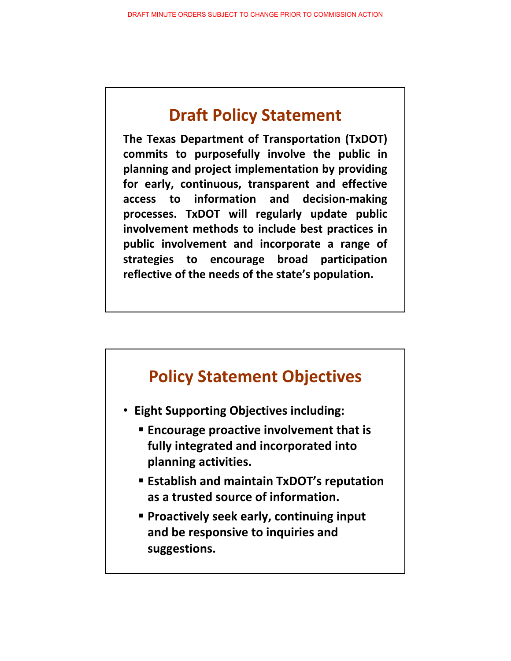# **Draft-Policy-Statement**

**The Texas Department of Transportation (TxDOT)** commits to purposefully involve the public in planning and project implementation by providing for early, continuous, transparent and effective **access- to information and**decision-making processes. TxDOT will regularly update public involvement methods to include best practices in public involvement and incorporate a range of strategies to encourage broad participation reflective of the needs of the state's population.

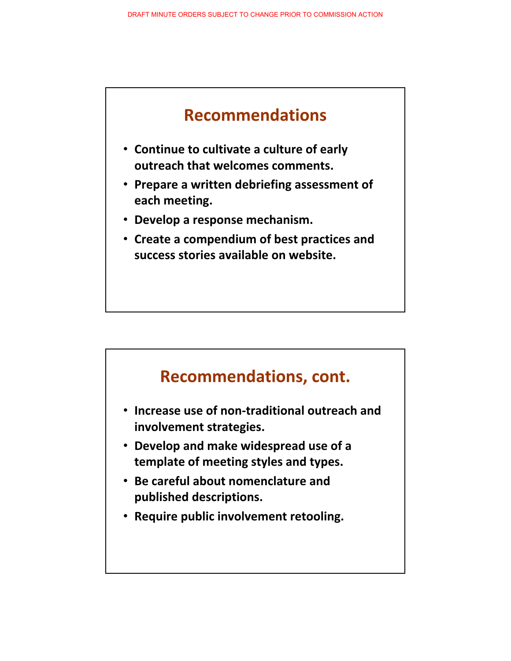

- **Continue to cultivate a culture of early outreach-that-welcomes-comments.**
- **Prepare a written debriefing assessment of** each meeting.
- **•** Develop a response mechanism.
- **•** Create a compendium of best practices and **success-stories-available-on-website.**